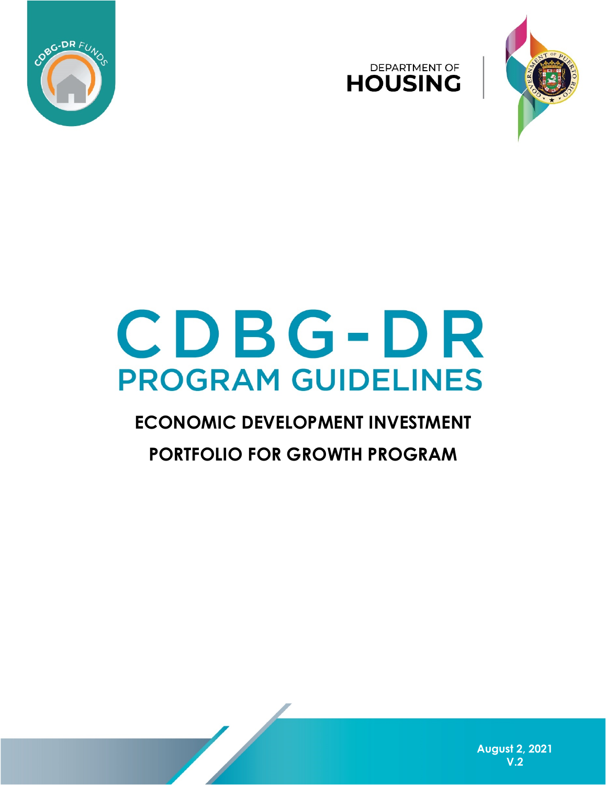





# CDBG-DR **PROGRAM GUIDELINES**

# **ECONOMIC DEVELOPMENT INVESTMENT**

# **PORTFOLIO FOR GROWTH PROGRAM**

**August 2, 2021 V.2**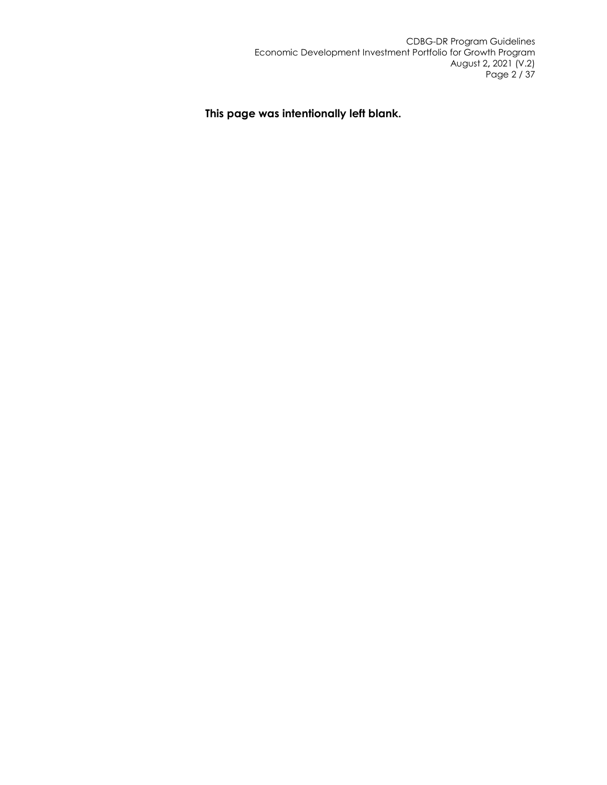**This page was intentionally left blank.**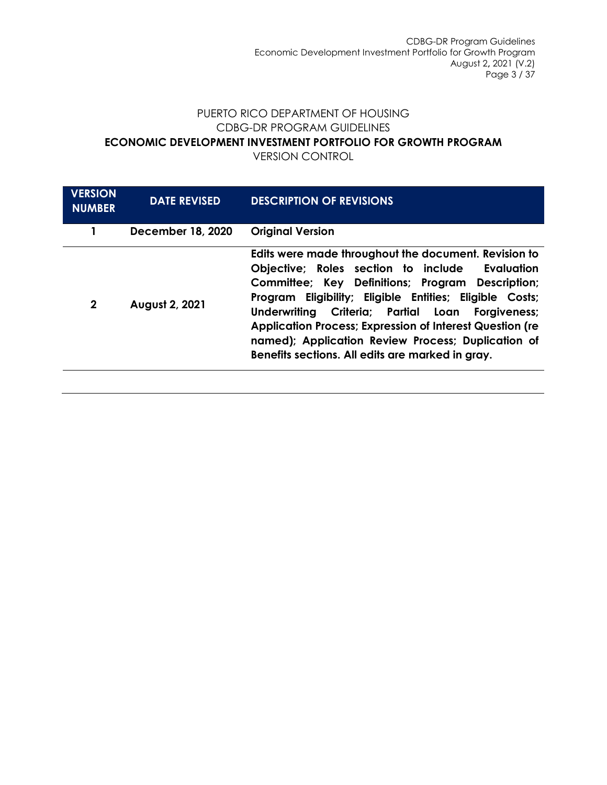#### PUERTO RICO DEPARTMENT OF HOUSING CDBG-DR PROGRAM GUIDELINES **ECONOMIC DEVELOPMENT INVESTMENT PORTFOLIO FOR GROWTH PROGRAM**

VERSION CONTROL

| <b>VERSION</b><br><b>NUMBER</b> | <b>DATE REVISED</b>      | <b>DESCRIPTION OF REVISIONS</b>                                                                                                                                                                                                                                                                                                                                                                                                                        |
|---------------------------------|--------------------------|--------------------------------------------------------------------------------------------------------------------------------------------------------------------------------------------------------------------------------------------------------------------------------------------------------------------------------------------------------------------------------------------------------------------------------------------------------|
|                                 | <b>December 18, 2020</b> | <b>Original Version</b>                                                                                                                                                                                                                                                                                                                                                                                                                                |
| $\mathbf{2}$                    | August 2, 2021           | Edits were made throughout the document. Revision to<br>Objective; Roles section to include Evaluation<br>Committee; Key Definitions; Program Description;<br>Program Eligibility; Eligible Entities; Eligible Costs;<br>Underwriting Criteria; Partial Loan Forgiveness;<br><b>Application Process; Expression of Interest Question (re</b><br>named); Application Review Process; Duplication of<br>Benefits sections. All edits are marked in gray. |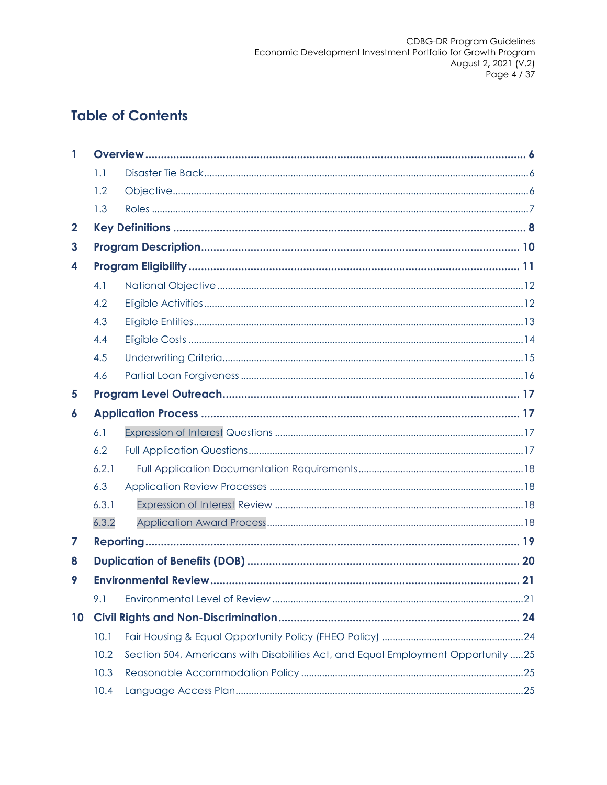# **Table of Contents**

|             | 1.1   |                                                                                   |  |
|-------------|-------|-----------------------------------------------------------------------------------|--|
|             | 1.2   |                                                                                   |  |
|             | 1.3   |                                                                                   |  |
| $\mathbf 2$ |       |                                                                                   |  |
| 3           |       |                                                                                   |  |
| 4           |       |                                                                                   |  |
|             | 4.1   |                                                                                   |  |
|             | 4.2   |                                                                                   |  |
|             | 4.3   |                                                                                   |  |
|             | 4.4   |                                                                                   |  |
|             | 4.5   |                                                                                   |  |
|             | 4.6   |                                                                                   |  |
| 5           |       |                                                                                   |  |
| 6           |       |                                                                                   |  |
|             | 6.1   |                                                                                   |  |
|             | 6.2   |                                                                                   |  |
|             | 6.2.1 |                                                                                   |  |
|             | 6.3   |                                                                                   |  |
|             | 6.3.1 |                                                                                   |  |
|             | 6.3.2 |                                                                                   |  |
| 7           |       |                                                                                   |  |
| 8           |       |                                                                                   |  |
| 9           |       |                                                                                   |  |
|             | 9.1   |                                                                                   |  |
| 10          |       |                                                                                   |  |
|             | 10.1  |                                                                                   |  |
|             | 10.2  | Section 504, Americans with Disabilities Act, and Equal Employment Opportunity 25 |  |
|             | 10.3  |                                                                                   |  |
|             | 10.4  |                                                                                   |  |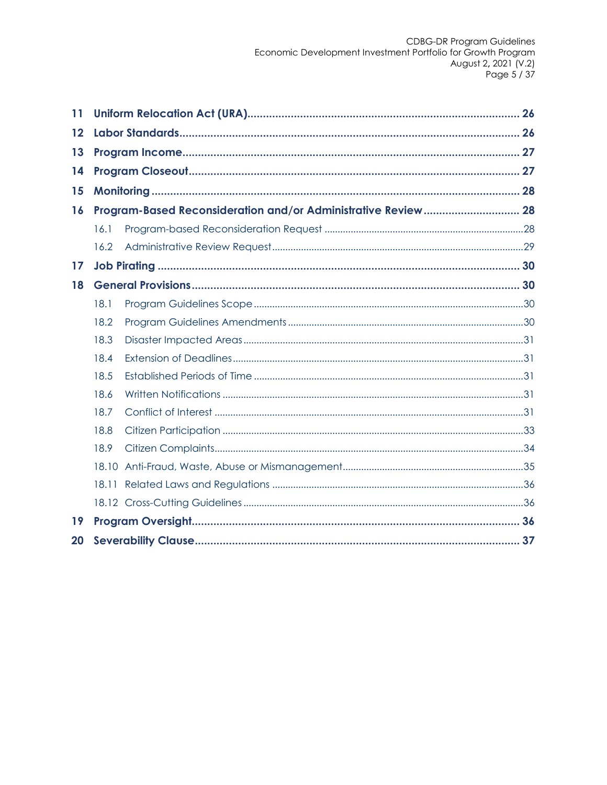| 11 |       |  |  |
|----|-------|--|--|
| 12 |       |  |  |
| 13 |       |  |  |
| 14 |       |  |  |
| 15 |       |  |  |
| 16 |       |  |  |
|    | 16.1  |  |  |
|    | 16.2  |  |  |
| 17 |       |  |  |
| 18 |       |  |  |
|    | 18.1  |  |  |
|    | 18.2  |  |  |
|    | 18.3  |  |  |
|    | 18.4  |  |  |
|    | 18.5  |  |  |
|    | 18.6  |  |  |
|    | 18.7  |  |  |
|    | 18.8  |  |  |
|    | 18.9  |  |  |
|    | 18.10 |  |  |
|    | 18.11 |  |  |
|    |       |  |  |
| 19 |       |  |  |
| 20 |       |  |  |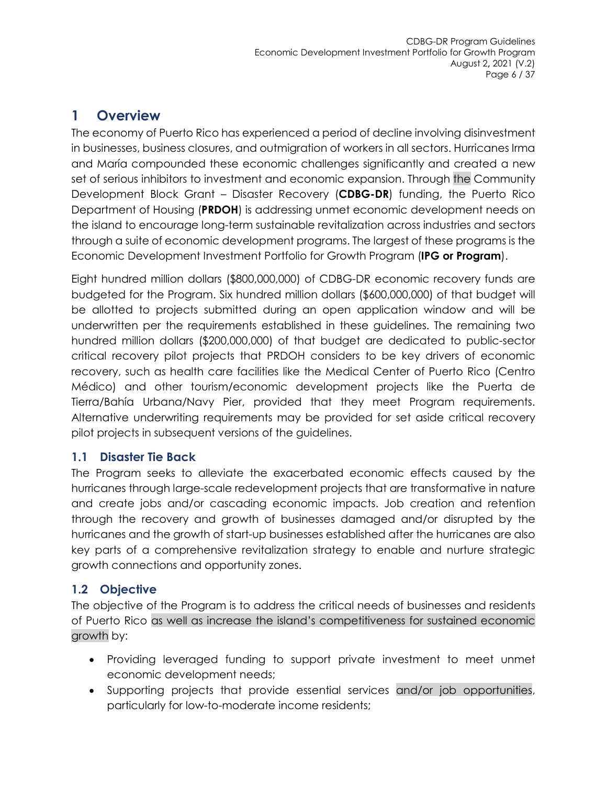# <span id="page-5-0"></span>**1 Overview**

The economy of Puerto Rico has experienced a period of decline involving disinvestment in businesses, business closures, and outmigration of workers in all sectors. Hurricanes Irma and María compounded these economic challenges significantly and created a new set of serious inhibitors to investment and economic expansion. Through the Community Development Block Grant – Disaster Recovery (**CDBG-DR**) funding, the Puerto Rico Department of Housing (**PRDOH**) is addressing unmet economic development needs on the island to encourage long-term sustainable revitalization across industries and sectors through a suite of economic development programs. The largest of these programs is the Economic Development Investment Portfolio for Growth Program (**IPG or Program**).

Eight hundred million dollars (\$800,000,000) of CDBG-DR economic recovery funds are budgeted for the Program. Six hundred million dollars (\$600,000,000) of that budget will be allotted to projects submitted during an open application window and will be underwritten per the requirements established in these guidelines. The remaining two hundred million dollars (\$200,000,000) of that budget are dedicated to public-sector critical recovery pilot projects that PRDOH considers to be key drivers of economic recovery, such as health care facilities like the Medical Center of Puerto Rico (Centro Médico) and other tourism/economic development projects like the Puerta de Tierra/Bahía Urbana/Navy Pier, provided that they meet Program requirements. Alternative underwriting requirements may be provided for set aside critical recovery pilot projects in subsequent versions of the guidelines.

#### <span id="page-5-1"></span>**1.1 Disaster Tie Back**

The Program seeks to alleviate the exacerbated economic effects caused by the hurricanes through large-scale redevelopment projects that are transformative in nature and create jobs and/or cascading economic impacts. Job creation and retention through the recovery and growth of businesses damaged and/or disrupted by the hurricanes and the growth of start-up businesses established after the hurricanes are also key parts of a comprehensive revitalization strategy to enable and nurture strategic growth connections and opportunity zones.

#### <span id="page-5-2"></span>**1.2 Objective**

The objective of the Program is to address the critical needs of businesses and residents of Puerto Rico as well as increase the island's competitiveness for sustained economic growth by:

- Providing leveraged funding to support private investment to meet unmet economic development needs;
- Supporting projects that provide essential services and/or job opportunities, particularly for low-to-moderate income residents;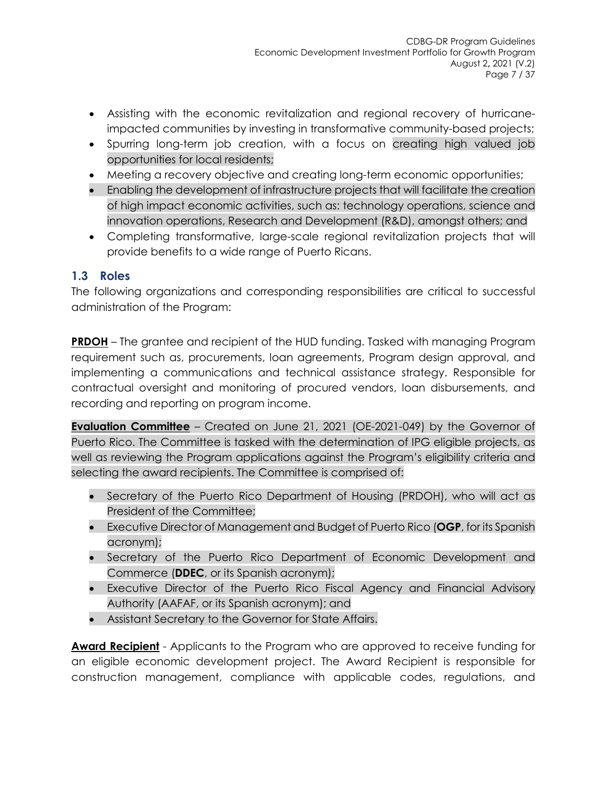- Assisting with the economic revitalization and regional recovery of hurricaneimpacted communities by investing in transformative community-based projects;
- Spurring long-term job creation, with a focus on creating high valued job opportunities for local residents;
- Meeting a recovery objective and creating long-term economic opportunities;
- Enabling the development of infrastructure projects that will facilitate the creation of high impact economic activities, such as: technology operations, science and innovation operations, Research and Development (R&D), amongst others; and
- Completing transformative, large-scale regional revitalization projects that will provide benefits to a wide range of Puerto Ricans.

#### <span id="page-6-0"></span>**1.3 Roles**

The following organizations and corresponding responsibilities are critical to successful administration of the Program:

**PRDOH** – The grantee and recipient of the HUD funding. Tasked with managing Program requirement such as, procurements, loan agreements, Program design approval, and implementing a communications and technical assistance strategy. Responsible for contractual oversight and monitoring of procured vendors, loan disbursements, and recording and reporting on program income.

**Evaluation Committee** – Created on June 21, 2021 (OE-2021-049) by the Governor of Puerto Rico. The Committee is tasked with the determination of IPG eligible projects, as well as reviewing the Program applications against the Program's eligibility criteria and selecting the award recipients. The Committee is comprised of:

- Secretary of the Puerto Rico Department of Housing (PRDOH), who will act as President of the Committee;
- Executive Director of Management and Budget of Puerto Rico (**OGP**, for its Spanish acronym);
- Secretary of the Puerto Rico Department of Economic Development and Commerce (**DDEC**, or its Spanish acronym);
- Executive Director of the Puerto Rico Fiscal Agency and Financial Advisory Authority (AAFAF, or its Spanish acronym); and
- Assistant Secretary to the Governor for State Affairs.

**Award Recipient** - Applicants to the Program who are approved to receive funding for an eligible economic development project. The Award Recipient is responsible for construction management, compliance with applicable codes, regulations, and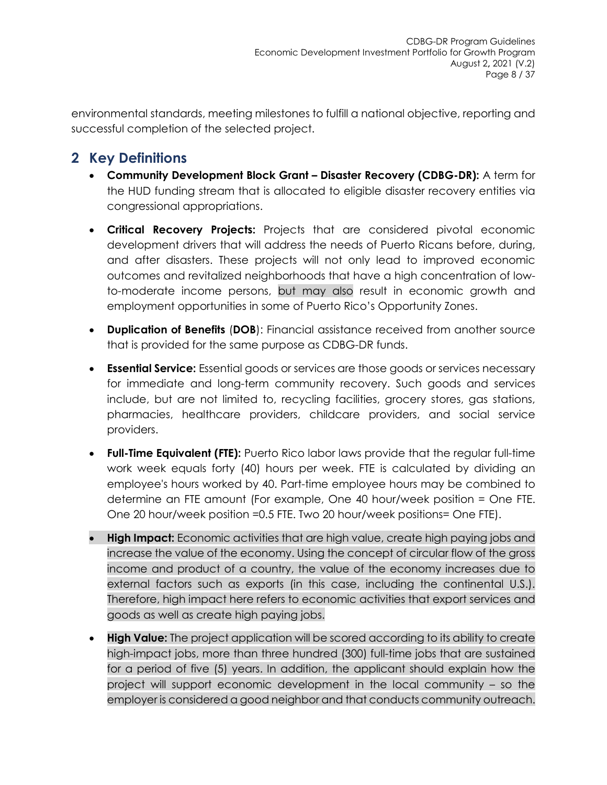environmental standards, meeting milestones to fulfill a national objective, reporting and successful completion of the selected project.

# <span id="page-7-0"></span>**2 Key Definitions**

- **Community Development Block Grant – Disaster Recovery (CDBG-DR):** A term for the HUD funding stream that is allocated to eligible disaster recovery entities via congressional appropriations.
- **Critical Recovery Projects:** Projects that are considered pivotal economic development drivers that will address the needs of Puerto Ricans before, during, and after disasters. These projects will not only lead to improved economic outcomes and revitalized neighborhoods that have a high concentration of lowto-moderate income persons, but may also result in economic growth and employment opportunities in some of Puerto Rico's Opportunity Zones.
- **Duplication of Benefits** (**DOB**): Financial assistance received from another source that is provided for the same purpose as CDBG-DR funds.
- **Essential Service:** Essential goods or services are those goods or services necessary for immediate and long-term community recovery. Such goods and services include, but are not limited to, recycling facilities, grocery stores, gas stations, pharmacies, healthcare providers, childcare providers, and social service providers.
- **Full-Time Equivalent (FTE):** Puerto Rico labor laws provide that the regular full-time work week equals forty (40) hours per week. FTE is calculated by dividing an employee's hours worked by 40. Part-time employee hours may be combined to determine an FTE amount (For example, One 40 hour/week position = One FTE. One 20 hour/week position =0.5 FTE. Two 20 hour/week positions= One FTE).
- **High Impact:** Economic activities that are high value, create high paying jobs and increase the value of the economy. Using the concept of circular flow of the gross income and product of a country, the value of the economy increases due to external factors such as exports (in this case, including the continental U.S.). Therefore, high impact here refers to economic activities that export services and goods as well as create high paying jobs.
- **High Value:** The project application will be scored according to its ability to create high-impact jobs, more than three hundred (300) full-time jobs that are sustained for a period of five (5) years. In addition, the applicant should explain how the project will support economic development in the local community – so the employer is considered a good neighbor and that conducts community outreach.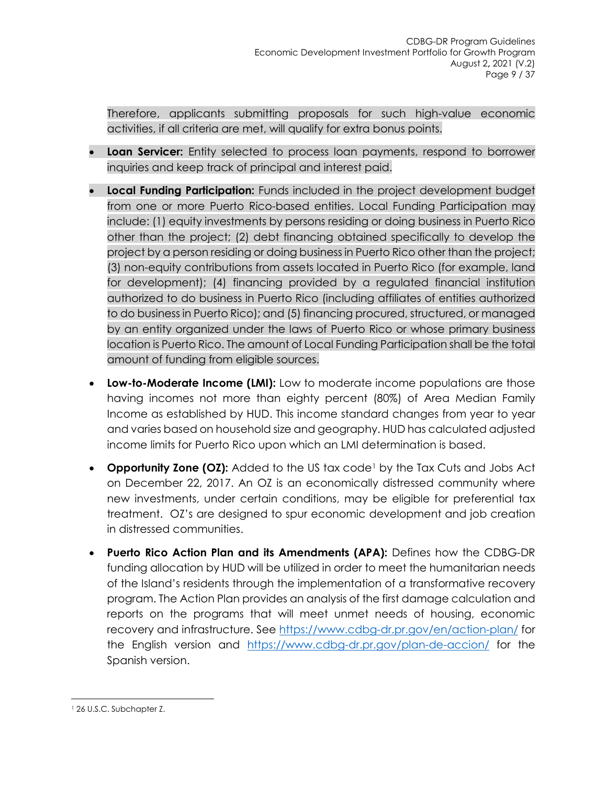Therefore, applicants submitting proposals for such high-value economic activities, if all criteria are met, will qualify for extra bonus points.

- **Loan Servicer:** Entity selected to process loan payments, respond to borrower inquiries and keep track of principal and interest paid.
- **Local Funding Participation:** Funds included in the project development budget from one or more Puerto Rico-based entities. Local Funding Participation may include: (1) equity investments by persons residing or doing business in Puerto Rico other than the project; (2) debt financing obtained specifically to develop the project by a person residing or doing business in Puerto Rico other than the project; (3) non-equity contributions from assets located in Puerto Rico (for example, land for development); (4) financing provided by a regulated financial institution authorized to do business in Puerto Rico (including affiliates of entities authorized to do business in Puerto Rico); and (5) financing procured, structured, or managed by an entity organized under the laws of Puerto Rico or whose primary business location is Puerto Rico. The amount of Local Funding Participation shall be the total amount of funding from eligible sources.
- **Low-to-Moderate Income (LMI):** Low to moderate income populations are those having incomes not more than eighty percent (80%) of Area Median Family Income as established by HUD. This income standard changes from year to year and varies based on household size and geography. HUD has calculated adjusted income limits for Puerto Rico upon which an LMI determination is based.
- **Opportunity Zone (OZ):** Added to the US tax code[1](#page-8-0) by the Tax Cuts and Jobs Act on December 22, 2017. An OZ is an economically distressed community where new investments, under certain conditions, may be eligible for preferential tax treatment. OZ's are designed to spur economic development and job creation in distressed communities.
- **Puerto Rico Action Plan and its Amendments (APA):** Defines how the CDBG-DR funding allocation by HUD will be utilized in order to meet the humanitarian needs of the Island's residents through the implementation of a transformative recovery program. The Action Plan provides an analysis of the first damage calculation and reports on the programs that will meet unmet needs of housing, economic recovery and infrastructure. See<https://www.cdbg-dr.pr.gov/en/action-plan/> for the English version and <https://www.cdbg-dr.pr.gov/plan-de-accion/> for the Spanish version.

<span id="page-8-0"></span> <sup>1</sup> 26 U.S.C. Subchapter Z.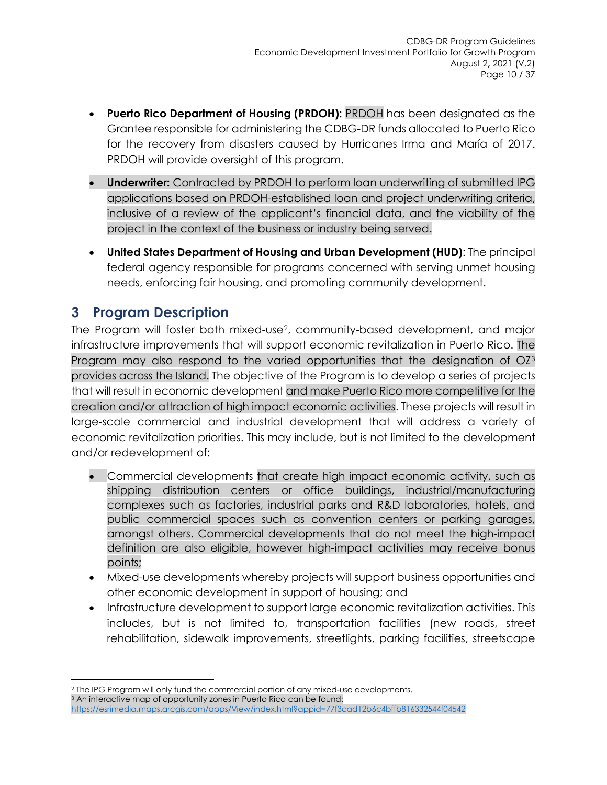- **Puerto Rico Department of Housing (PRDOH):** PRDOH has been designated as the Grantee responsible for administering the CDBG-DR funds allocated to Puerto Rico for the recovery from disasters caused by Hurricanes Irma and María of 2017. PRDOH will provide oversight of this program.
- **Underwriter:** Contracted by PRDOH to perform loan underwriting of submitted IPG applications based on PRDOH-established loan and project underwriting criteria, inclusive of a review of the applicant's financial data, and the viability of the project in the context of the business or industry being served.
- **United States Department of Housing and Urban Development (HUD)**: The principal federal agency responsible for programs concerned with serving unmet housing needs, enforcing fair housing, and promoting community development.

# <span id="page-9-0"></span>**3 Program Description**

The Program will foster both mixed-use[2](#page-9-1), community-based development, and major infrastructure improvements that will support economic revitalization in Puerto Rico. The Program may also respond to the varied opportunities that the designation of OZ[3](#page-9-2) provides across the Island. The objective of the Program is to develop a series of projects that will result in economic development and make Puerto Rico more competitive for the creation and/or attraction of high impact economic activities. These projects will result in large-scale commercial and industrial development that will address a variety of economic revitalization priorities. This may include, but is not limited to the development and/or redevelopment of:

- Commercial developments that create high impact economic activity, such as shipping distribution centers or office buildings, industrial/manufacturing complexes such as factories, industrial parks and R&D laboratories, hotels, and public commercial spaces such as convention centers or parking garages, amongst others. Commercial developments that do not meet the high-impact definition are also eligible, however high-impact activities may receive bonus points;
- Mixed-use developments whereby projects will support business opportunities and other economic development in support of housing; and
- Infrastructure development to support large economic revitalization activities. This includes, but is not limited to, transportation facilities (new roads, street rehabilitation, sidewalk improvements, streetlights, parking facilities, streetscape

<span id="page-9-2"></span><span id="page-9-1"></span> <sup>2</sup> The IPG Program will only fund the commercial portion of any mixed-use developments. <sup>3</sup> An interactive map of opportunity zones in Puerto Rico can be found: <https://esrimedia.maps.arcgis.com/apps/View/index.html?appid=77f3cad12b6c4bffb816332544f04542>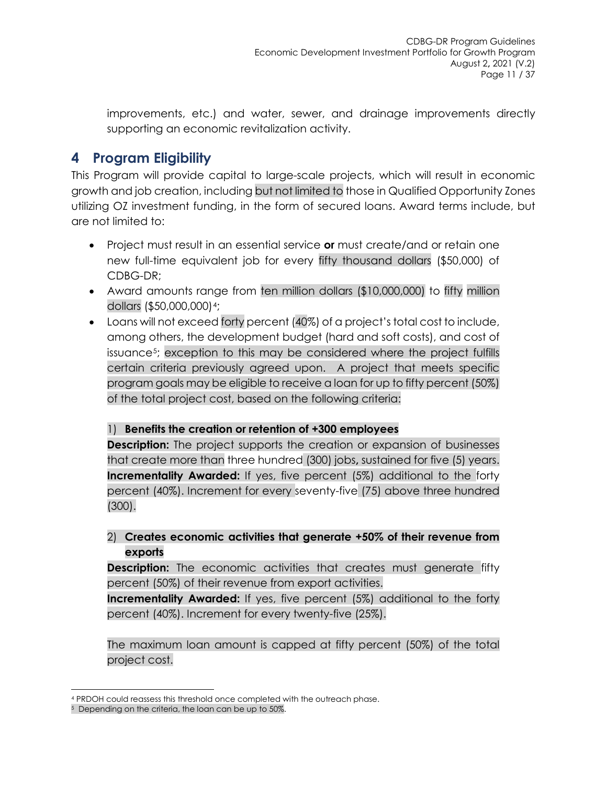improvements, etc.) and water, sewer, and drainage improvements directly supporting an economic revitalization activity.

# <span id="page-10-0"></span>**4 Program Eligibility**

This Program will provide capital to large-scale projects, which will result in economic growth and job creation, including but not limited to those in Qualified Opportunity Zones utilizing OZ investment funding, in the form of secured loans. Award terms include, but are not limited to:

- Project must result in an essential service **or** must create/and or retain one new full-time equivalent job for every fifty thousand dollars (\$50,000) of CDBG-DR;
- Award amounts range from ten million dollars (\$10,000,000) to fifty million dollars (\$50,000,000)[4;](#page-10-1)
- Loans will not exceed forty percent (40%) of a project's total cost to include, among others, the development budget (hard and soft costs), and cost of issuanc[e5](#page-10-2); exception to this may be considered where the project fulfills certain criteria previously agreed upon. A project that meets specific program goals may be eligible to receive a loan for up to fifty percent (50%) of the total project cost, based on the following criteria:

#### 1) **Benefits the creation or retention of +300 employees**

**Description:** The project supports the creation or expansion of businesses that create more than three hundred (300) jobs**,** sustained for five (5) years. **Incrementality Awarded:** If yes, five percent (5%) additional to the forty percent (40%). Increment for every seventy-five (75) above three hundred (300).

#### 2) **Creates economic activities that generate +50% of their revenue from exports**

**Description:** The economic activities that creates must generate fifty percent (50%) of their revenue from export activities.

**Incrementality Awarded:** If yes, five percent (5%) additional to the forty percent (40%). Increment for every twenty-five (25%).

The maximum loan amount is capped at fifty percent (50%) of the total project cost.

<span id="page-10-1"></span> <sup>4</sup> PRDOH could reassess this threshold once completed with the outreach phase.

<span id="page-10-2"></span><sup>&</sup>lt;sup>5</sup> Depending on the criteria, the loan can be up to 50%.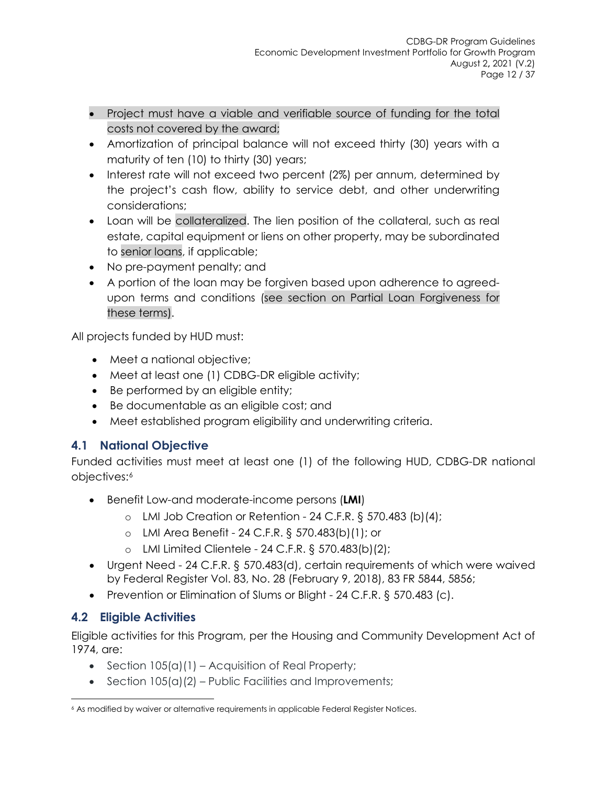- Project must have a viable and verifiable source of funding for the total costs not covered by the award;
- Amortization of principal balance will not exceed thirty (30) years with a maturity of ten (10) to thirty (30) years;
- Interest rate will not exceed two percent (2%) per annum, determined by the project's cash flow, ability to service debt, and other underwriting considerations;
- Loan will be collateralized. The lien position of the collateral, such as real estate, capital equipment or liens on other property, may be subordinated to senior loans, if applicable;
- No pre-payment penalty; and
- A portion of the loan may be forgiven based upon adherence to agreedupon terms and conditions (see section on Partial Loan Forgiveness for these terms).

All projects funded by HUD must:

- Meet a national objective;
- Meet at least one (1) CDBG-DR eligible activity;
- Be performed by an eligible entity;
- Be documentable as an eligible cost; and
- <span id="page-11-0"></span>• Meet established program eligibility and underwriting criteria.

#### **4.1 National Objective**

Funded activities must meet at least one (1) of the following HUD, CDBG-DR national objectives:[6](#page-11-2)

- Benefit Low-and moderate-income persons (**LMI**)
	- o LMI Job Creation or Retention 24 C.F.R. § 570.483 (b)(4);
	- o LMI Area Benefit 24 C.F.R. § 570.483(b)(1); or
	- o LMI Limited Clientele 24 C.F.R. § 570.483(b)(2);
- Urgent Need 24 C.F.R. § 570.483(d), certain requirements of which were waived by Federal Register Vol. 83, No. 28 (February 9, 2018), 83 FR 5844, 5856;
- Prevention or Elimination of Slums or Blight 24 C.F.R. § 570.483 (c).

# <span id="page-11-1"></span>**4.2 Eligible Activities**

Eligible activities for this Program, per the Housing and Community Development Act of 1974, are:

- Section  $105(a)(1)$  Acquisition of Real Property;
- Section 105(a)(2) Public Facilities and Improvements;

<span id="page-11-2"></span> <sup>6</sup> As modified by waiver or alternative requirements in applicable Federal Register Notices.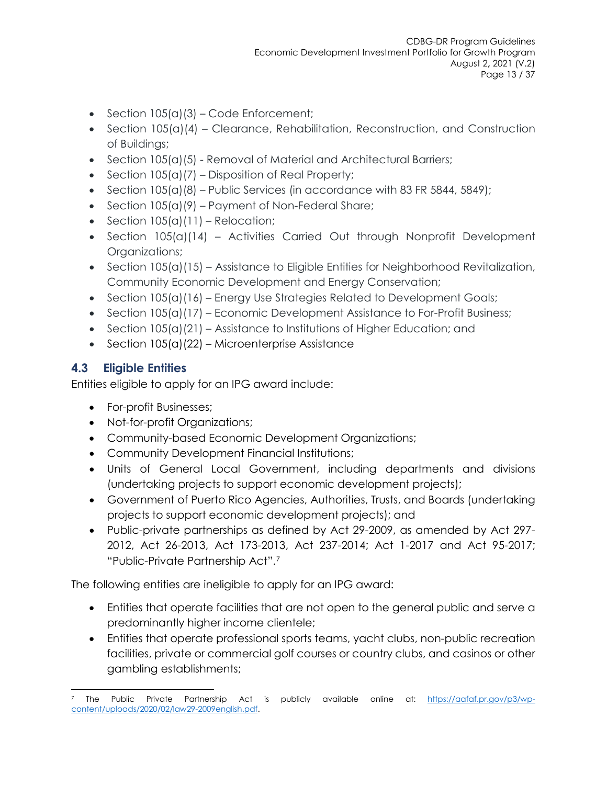- Section 105(a)(3) Code Enforcement;
- Section 105(a)(4) Clearance, Rehabilitation, Reconstruction, and Construction of Buildings;
- Section 105(a)(5) Removal of Material and Architectural Barriers;
- Section  $105(a)(7)$  Disposition of Real Property;
- Section  $105(a)(8)$  Public Services (in accordance with 83 FR 5844, 5849);
- Section 105(a)(9) Payment of Non-Federal Share;
- Section  $105(a)(11)$  Relocation;
- Section 105(a)(14) Activities Carried Out through Nonprofit Development Organizations;
- Section 105(a)(15) Assistance to Eligible Entities for Neighborhood Revitalization, Community Economic Development and Energy Conservation;
- Section 105(a)(16) Energy Use Strategies Related to Development Goals;
- Section 105(a)(17) Economic Development Assistance to For-Profit Business;
- Section  $105(a)(21)$  Assistance to Institutions of Higher Education; and
- <span id="page-12-0"></span>• Section 105(a)(22) – Microenterprise Assistance

#### **4.3 Eligible Entities**

Entities eligible to apply for an IPG award include:

- For-profit Businesses;
- Not-for-profit Organizations;
- Community-based Economic Development Organizations;
- Community Development Financial Institutions;
- Units of General Local Government, including departments and divisions (undertaking projects to support economic development projects);
- Government of Puerto Rico Agencies, Authorities, Trusts, and Boards (undertaking projects to support economic development projects); and
- Public-private partnerships as defined by Act 29-2009, as amended by Act 297- 2012, Act 26-2013, Act 173-2013, Act 237-2014; Act 1-2017 and Act 95-2017; "Public-Private Partnership Act".[7](#page-12-1)

The following entities are ineligible to apply for an IPG award:

- Entities that operate facilities that are not open to the general public and serve a predominantly higher income clientele;
- Entities that operate professional sports teams, yacht clubs, non-public recreation facilities, private or commercial golf courses or country clubs, and casinos or other gambling establishments;

<span id="page-12-1"></span>The Public Private Partnership Act is publicly available online at: [https://aafaf.pr.gov/p3/wp](https://aafaf.pr.gov/p3/wp-content/uploads/2020/02/law29-2009english.pdf)[content/uploads/2020/02/law29-2009english.pdf.](https://aafaf.pr.gov/p3/wp-content/uploads/2020/02/law29-2009english.pdf)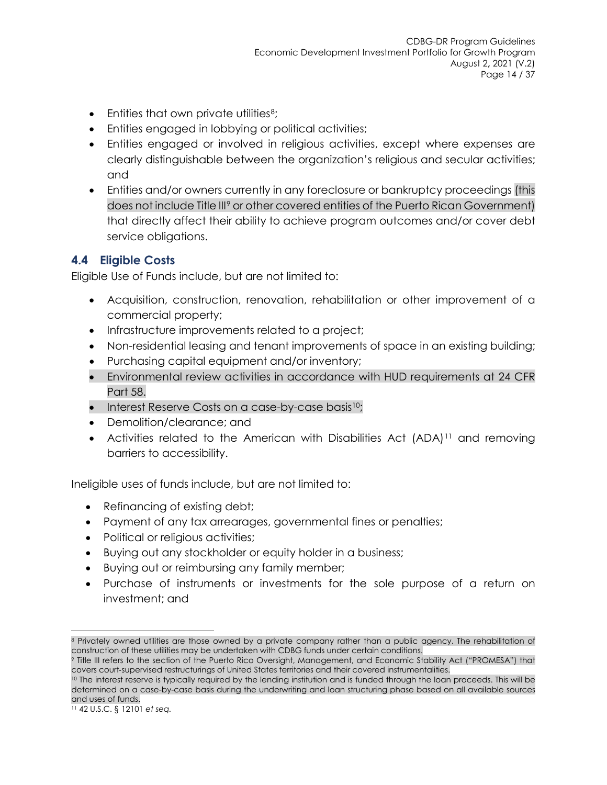- Entities that own private utilities<sup>[8](#page-13-1)</sup>;
- Entities engaged in lobbying or political activities;
- Entities engaged or involved in religious activities, except where expenses are clearly distinguishable between the organization's religious and secular activities; and
- Entities and/or owners currently in any foreclosure or bankruptcy proceedings (this does not include Title III<sup>[9](#page-13-2)</sup> or other covered entities of the Puerto Rican Government) that directly affect their ability to achieve program outcomes and/or cover debt service obligations.

#### <span id="page-13-0"></span>**4.4 Eligible Costs**

Eligible Use of Funds include, but are not limited to:

- Acquisition, construction, renovation, rehabilitation or other improvement of a commercial property;
- Infrastructure improvements related to a project;
- Non-residential leasing and tenant improvements of space in an existing building;
- Purchasing capital equipment and/or inventory;
- Environmental review activities in accordance with HUD requirements at 24 CFR Part 58.
- Interest Reserve Costs on a case-by-case basis<sup>10</sup>;
- Demolition/clearance; and
- Activities related to the American with Disabilities Act (ADA)<sup>[11](#page-13-4)</sup> and removing barriers to accessibility.

Ineligible uses of funds include, but are not limited to:

- Refinancing of existing debt;
- Payment of any tax arrearages, governmental fines or penalties;
- Political or religious activities;
- Buying out any stockholder or equity holder in a business;
- Buying out or reimbursing any family member;
- Purchase of instruments or investments for the sole purpose of a return on investment; and

<span id="page-13-1"></span><sup>&</sup>lt;sup>8</sup> Privately owned utilities are those owned by a private company rather than a public agency. The rehabilitation of construction of these utilities may be undertaken with CDBG funds under certain conditions.

<span id="page-13-2"></span><sup>9</sup> Title III refers to the section of the Puerto Rico Oversight, Management, and Economic Stability Act ("PROMESA") that covers court-supervised restructurings of United States territories and their covered instrumentalities.

<span id="page-13-3"></span><sup>&</sup>lt;sup>10</sup> The interest reserve is typically required by the lending institution and is funded through the loan proceeds. This will be determined on a case-by-case basis during the underwriting and loan structuring phase based on all available sources and uses of funds.

<span id="page-13-4"></span><sup>11</sup> 42 U.S.C. § 12101 *et seq.*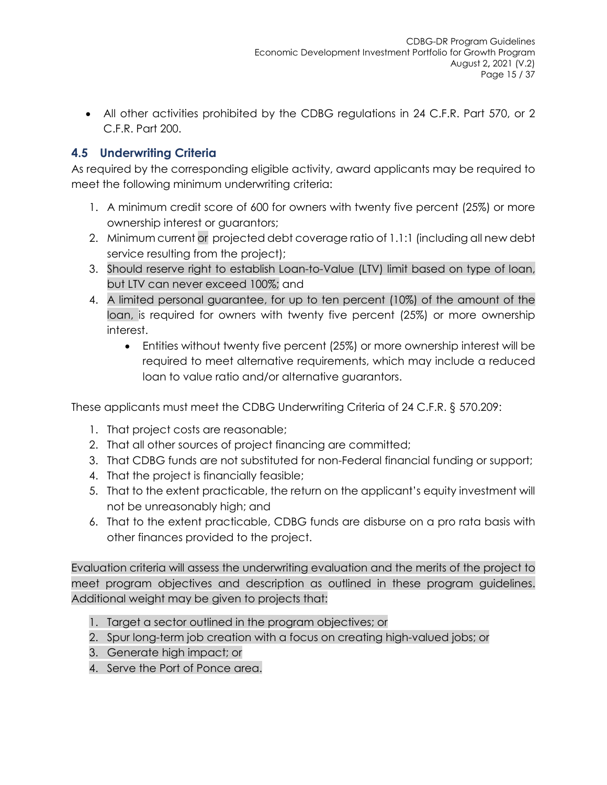• All other activities prohibited by the CDBG regulations in 24 C.F.R. Part 570, or 2 C.F.R. Part 200.

#### <span id="page-14-0"></span>**4.5 Underwriting Criteria**

As required by the corresponding eligible activity, award applicants may be required to meet the following minimum underwriting criteria:

- 1. A minimum credit score of 600 for owners with twenty five percent (25%) or more ownership interest or guarantors;
- 2. Minimum current or projected debt coverage ratio of 1.1:1 (including all new debt service resulting from the project);
- 3. Should reserve right to establish Loan-to-Value (LTV) limit based on type of loan, but LTV can never exceed 100%; and
- 4. A limited personal guarantee, for up to ten percent (10%) of the amount of the loan, is required for owners with twenty five percent (25%) or more ownership interest.
	- Entities without twenty five percent (25%) or more ownership interest will be required to meet alternative requirements, which may include a reduced loan to value ratio and/or alternative guarantors.

These applicants must meet the CDBG Underwriting Criteria of 24 C.F.R. § 570.209:

- 1. That project costs are reasonable;
- 2. That all other sources of project financing are committed;
- 3. That CDBG funds are not substituted for non-Federal financial funding or support;
- 4. That the project is financially feasible;
- 5. That to the extent practicable, the return on the applicant's equity investment will not be unreasonably high; and
- 6. That to the extent practicable, CDBG funds are disburse on a pro rata basis with other finances provided to the project.

Evaluation criteria will assess the underwriting evaluation and the merits of the project to meet program objectives and description as outlined in these program guidelines. Additional weight may be given to projects that:

- 1. Target a sector outlined in the program objectives; or
- 2. Spur long-term job creation with a focus on creating high-valued jobs; or
- 3. Generate high impact; or
- 4. Serve the Port of Ponce area.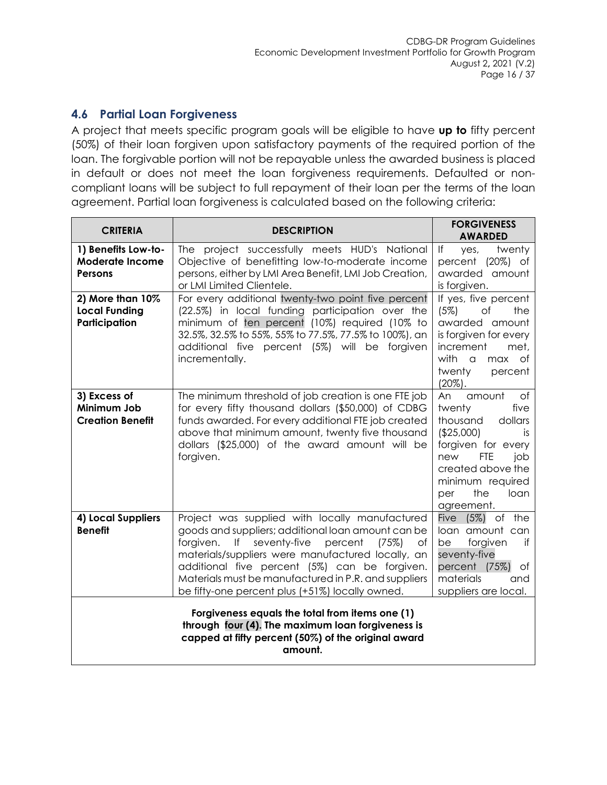#### <span id="page-15-0"></span>**4.6 Partial Loan Forgiveness**

A project that meets specific program goals will be eligible to have **up to** fifty percent (50%) of their loan forgiven upon satisfactory payments of the required portion of the loan. The forgivable portion will not be repayable unless the awarded business is placed in default or does not meet the loan forgiveness requirements. Defaulted or noncompliant loans will be subject to full repayment of their loan per the terms of the loan agreement. Partial loan forgiveness is calculated based on the following criteria:

| <b>CRITERIA</b>                                                 | <b>DESCRIPTION</b>                                                                                                                                                                                                                                                                                                                                                              | <b>FORGIVENESS</b><br><b>AWARDED</b>                                                                                                                                                                                   |
|-----------------------------------------------------------------|---------------------------------------------------------------------------------------------------------------------------------------------------------------------------------------------------------------------------------------------------------------------------------------------------------------------------------------------------------------------------------|------------------------------------------------------------------------------------------------------------------------------------------------------------------------------------------------------------------------|
| 1) Benefits Low-to-<br><b>Moderate Income</b><br><b>Persons</b> | The project successfully meets HUD's National<br>Objective of benefitting low-to-moderate income<br>persons, either by LMI Area Benefit, LMI Job Creation,<br>or LMI Limited Clientele.                                                                                                                                                                                         | lf<br>twenty<br>yes,<br>percent (20%) of<br>awarded amount<br>is forgiven.                                                                                                                                             |
| 2) More than 10%<br><b>Local Funding</b><br>Participation       | For every additional twenty-two point five percent<br>(22.5%) in local funding participation over the<br>minimum of ten percent (10%) required (10% to<br>32.5%, 32.5% to 55%, 55% to 77.5%, 77.5% to 100%), an<br>additional five percent (5%) will be forgiven<br>incrementally.                                                                                              | If yes, five percent<br>(5%)<br>of<br>the<br>awarded amount<br>is forgiven for every<br>increment<br>met,<br>with<br>$\alpha$<br>max<br>Οf<br>twenty<br>percent<br>$(20\%)$ .                                          |
| 3) Excess of<br>Minimum Job<br><b>Creation Benefit</b>          | The minimum threshold of job creation is one FTE job<br>for every fifty thousand dollars (\$50,000) of CDBG<br>funds awarded. For every additional FTE job created<br>above that minimum amount, twenty five thousand<br>dollars (\$25,000) of the award amount will be<br>forgiven.                                                                                            | amount<br><b>of</b><br>An<br>twenty<br>five<br>dollars<br>thousand<br>(\$25,000)<br>is.<br>forgiven for every<br><b>FTE</b><br>new<br>job<br>created above the<br>minimum required<br>the<br>loan<br>per<br>agreement. |
| 4) Local Suppliers<br><b>Benefit</b>                            | Project was supplied with locally manufactured<br>goods and suppliers; additional loan amount can be<br>forgiven.<br>If seventy-five<br>percent<br>(75%)<br>of<br>materials/suppliers were manufactured locally, an<br>additional five percent (5%) can be forgiven.<br>Materials must be manufactured in P.R. and suppliers<br>be fifty-one percent plus (+51%) locally owned. | Five (5%) of the<br>loan amount can<br>forgiven<br>if<br>be<br>seventy-five<br>percent (75%)<br>Οf<br>materials<br>and<br>suppliers are local.                                                                         |
|                                                                 | Forgiveness equals the total from items one (1)<br>through four (4). The maximum loan forgiveness is<br>capped at fifty percent (50%) of the original award<br>amount.                                                                                                                                                                                                          |                                                                                                                                                                                                                        |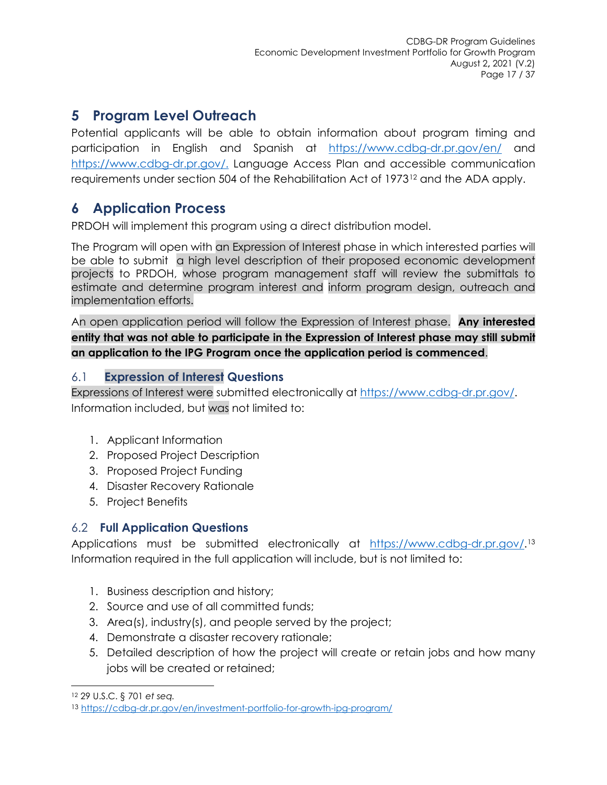# <span id="page-16-0"></span>**5 Program Level Outreach**

Potential applicants will be able to obtain information about program timing and participation in English and Spanish at <https://www.cdbg-dr.pr.gov/en/> and [https://www.cdbg-dr.pr.gov/.](https://www.cdbg-dr.pr.gov/) Language Access Plan and accessible communication requirements under section 504 of the Rehabilitation Act of 1973[12](#page-16-4) and the ADA apply.

# <span id="page-16-1"></span>**6 Application Process**

PRDOH will implement this program using a direct distribution model.

The Program will open with an Expression of Interest phase in which interested parties will be able to submit a high level description of their proposed economic development projects to PRDOH, whose program management staff will review the submittals to estimate and determine program interest and inform program design, outreach and implementation efforts.

An open application period will follow the Expression of Interest phase. **Any interested entity that was not able to participate in the Expression of Interest phase may still submit an application to the IPG Program once the application period is commenced**.

#### <span id="page-16-2"></span>6.1 **Expression of Interest Questions**

Expressions of Interest were submitted electronically at [https://www.cdbg-dr.pr.gov/.](https://www.cdbg-dr.pr.gov/) Information included, but was not limited to:

- 1. Applicant Information
- 2. Proposed Project Description
- 3. Proposed Project Funding
- 4. Disaster Recovery Rationale
- 5. Project Benefits

# <span id="page-16-3"></span>6.2 **Full Application Questions**

Applications must be submitted electronically at [https://www.cdbg-dr.pr.gov/.](https://www.cdbg-dr.pr.gov/)<sup>[13](#page-16-5)</sup> Information required in the full application will include, but is not limited to:

- 1. Business description and history;
- 2. Source and use of all committed funds;
- 3. Area(s), industry(s), and people served by the project;
- 4. Demonstrate a disaster recovery rationale;
- 5. Detailed description of how the project will create or retain jobs and how many jobs will be created or retained;

<span id="page-16-4"></span> <sup>12</sup> 29 U.S.C. § 701 *et seq.*

<span id="page-16-5"></span><sup>13</sup> <https://cdbg-dr.pr.gov/en/investment-portfolio-for-growth-ipg-program/>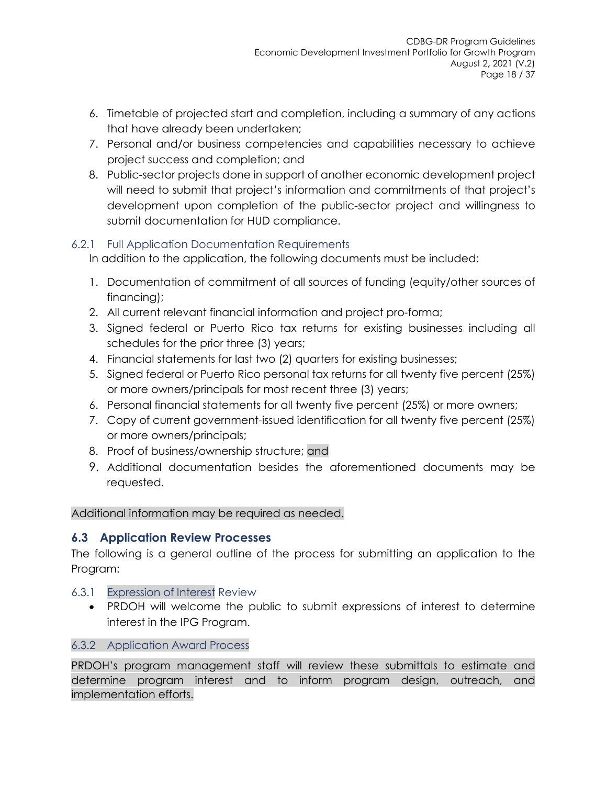- 6. Timetable of projected start and completion, including a summary of any actions that have already been undertaken;
- 7. Personal and/or business competencies and capabilities necessary to achieve project success and completion; and
- 8. Public-sector projects done in support of another economic development project will need to submit that project's information and commitments of that project's development upon completion of the public-sector project and willingness to submit documentation for HUD compliance.

#### 6.2.1 Full Application Documentation Requirements

<span id="page-17-0"></span>In addition to the application, the following documents must be included:

- 1. Documentation of commitment of all sources of funding (equity/other sources of financing);
- 2. All current relevant financial information and project pro-forma;
- 3. Signed federal or Puerto Rico tax returns for existing businesses including all schedules for the prior three (3) years;
- 4. Financial statements for last two (2) quarters for existing businesses;
- 5. Signed federal or Puerto Rico personal tax returns for all twenty five percent (25%) or more owners/principals for most recent three (3) years;
- 6. Personal financial statements for all twenty five percent (25%) or more owners;
- 7. Copy of current government-issued identification for all twenty five percent (25%) or more owners/principals;
- 8. Proof of business/ownership structure; and
- 9. Additional documentation besides the aforementioned documents may be requested.

Additional information may be required as needed.

#### <span id="page-17-1"></span>**6.3 Application Review Processes**

The following is a general outline of the process for submitting an application to the Program:

#### <span id="page-17-2"></span>6.3.1 Expression of Interest Review

• PRDOH will welcome the public to submit expressions of interest to determine interest in the IPG Program.

#### <span id="page-17-3"></span>6.3.2 Application Award Process

PRDOH's program management staff will review these submittals to estimate and determine program interest and to inform program design, outreach, and implementation efforts.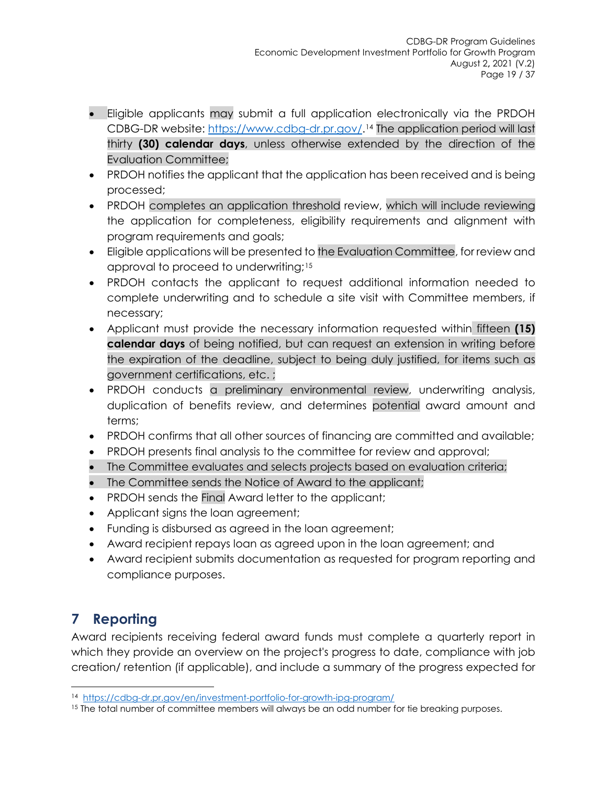- Eligible applicants may submit a full application electronically via the PRDOH CDBG-DR website: [https://www.cdbg-dr.pr.gov/.](https://www.cdbg-dr.pr.gov/)[14](#page-18-1) The application period will last thirty **(30) calendar days**, unless otherwise extended by the direction of the Evaluation Committee;
- PRDOH notifies the applicant that the application has been received and is being processed;
- PRDOH completes an application threshold review, which will include reviewing the application for completeness, eligibility requirements and alignment with program requirements and goals;
- Eligible applications will be presented to the Evaluation Committee, for review and approval to proceed to underwriting;[15](#page-18-2)
- PRDOH contacts the applicant to request additional information needed to complete underwriting and to schedule a site visit with Committee members, if necessary;
- Applicant must provide the necessary information requested within fifteen **(15) calendar days** of being notified, but can request an extension in writing before the expiration of the deadline, subject to being duly justified, for items such as government certifications, etc. ;
- PRDOH conducts a preliminary environmental review, underwriting analysis, duplication of benefits review, and determines potential award amount and terms;
- PRDOH confirms that all other sources of financing are committed and available;
- PRDOH presents final analysis to the committee for review and approval;
- The Committee evaluates and selects projects based on evaluation criteria;
- The Committee sends the Notice of Award to the applicant;
- PRDOH sends the Final Award letter to the applicant;
- Applicant signs the loan agreement;
- Funding is disbursed as agreed in the loan agreement;
- Award recipient repays loan as agreed upon in the loan agreement; and
- Award recipient submits documentation as requested for program reporting and compliance purposes.

# <span id="page-18-0"></span>**7 Reporting**

Award recipients receiving federal award funds must complete a quarterly report in which they provide an overview on the project's progress to date, compliance with job creation/ retention (if applicable), and include a summary of the progress expected for

<span id="page-18-1"></span> <sup>14</sup> <https://cdbg-dr.pr.gov/en/investment-portfolio-for-growth-ipg-program/>

<span id="page-18-2"></span><sup>&</sup>lt;sup>15</sup> The total number of committee members will always be an odd number for tie breaking purposes.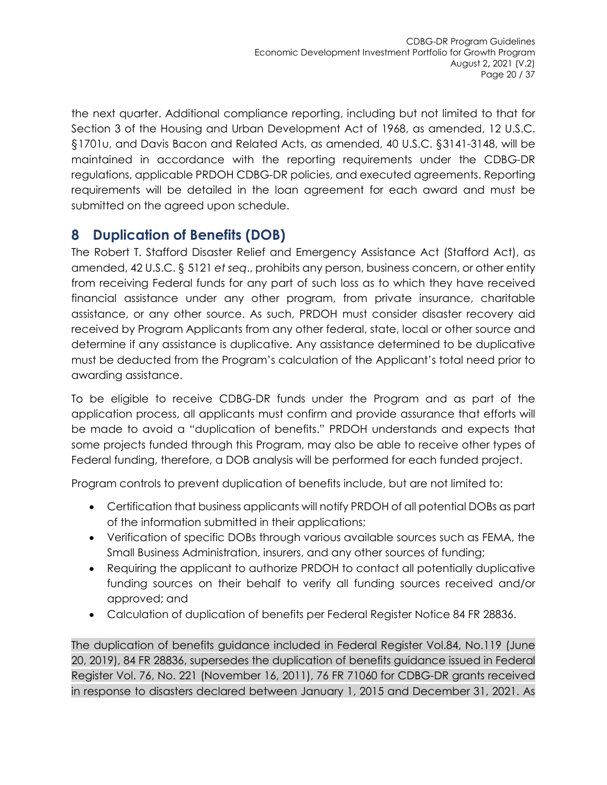the next quarter. Additional compliance reporting, including but not limited to that for Section 3 of the Housing and Urban Development Act of 1968, as amended, 12 U.S.C. §1701u, and Davis Bacon and Related Acts, as amended, 40 U.S.C. §3141-3148, will be maintained in accordance with the reporting requirements under the CDBG-DR regulations, applicable PRDOH CDBG-DR policies, and executed agreements. Reporting requirements will be detailed in the loan agreement for each award and must be submitted on the agreed upon schedule.

# <span id="page-19-0"></span>**8 Duplication of Benefits (DOB)**

The Robert T. Stafford Disaster Relief and Emergency Assistance Act (Stafford Act), as amended, 42 U.S.C. § 5121 *et seq*., prohibits any person, business concern, or other entity from receiving Federal funds for any part of such loss as to which they have received financial assistance under any other program, from private insurance, charitable assistance, or any other source. As such, PRDOH must consider disaster recovery aid received by Program Applicants from any other federal, state, local or other source and determine if any assistance is duplicative. Any assistance determined to be duplicative must be deducted from the Program's calculation of the Applicant's total need prior to awarding assistance.

To be eligible to receive CDBG-DR funds under the Program and as part of the application process, all applicants must confirm and provide assurance that efforts will be made to avoid a "duplication of benefits." PRDOH understands and expects that some projects funded through this Program, may also be able to receive other types of Federal funding, therefore, a DOB analysis will be performed for each funded project.

Program controls to prevent duplication of benefits include, but are not limited to:

- Certification that business applicants will notify PRDOH of all potential DOBs as part of the information submitted in their applications;
- Verification of specific DOBs through various available sources such as FEMA, the Small Business Administration, insurers, and any other sources of funding;
- Requiring the applicant to authorize PRDOH to contact all potentially duplicative funding sources on their behalf to verify all funding sources received and/or approved; and
- Calculation of duplication of benefits per Federal Register Notice 84 FR 28836.

The duplication of benefits guidance included in Federal Register Vol.84, No.119 (June 20, 2019), 84 FR 28836, supersedes the duplication of benefits guidance issued in Federal Register Vol. 76, No. 221 (November 16, 2011), 76 FR 71060 for CDBG-DR grants received in response to disasters declared between January 1, 2015 and December 31, 2021. As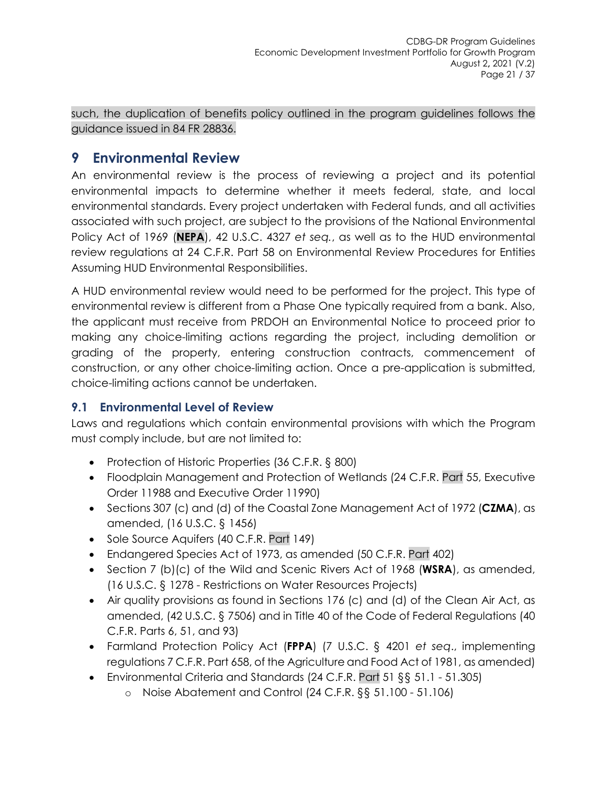such, the duplication of benefits policy outlined in the program guidelines follows the guidance issued in 84 FR 28836.

# <span id="page-20-0"></span>**9 Environmental Review**

An environmental review is the process of reviewing a project and its potential environmental impacts to determine whether it meets federal, state, and local environmental standards. Every project undertaken with Federal funds, and all activities associated with such project, are subject to the provisions of the National Environmental Policy Act of 1969 (**NEPA**), 42 U.S.C. 4327 *et seq.*, as well as to the HUD environmental review regulations at 24 C.F.R. Part 58 on Environmental Review Procedures for Entities Assuming HUD Environmental Responsibilities.

A HUD environmental review would need to be performed for the project. This type of environmental review is different from a Phase One typically required from a bank. Also, the applicant must receive from PRDOH an Environmental Notice to proceed prior to making any choice-limiting actions regarding the project, including demolition or grading of the property, entering construction contracts, commencement of construction, or any other choice-limiting action. Once a pre-application is submitted, choice-limiting actions cannot be undertaken.

#### <span id="page-20-1"></span>**9.1 Environmental Level of Review**

Laws and regulations which contain environmental provisions with which the Program must comply include, but are not limited to:

- Protection of Historic Properties (36 C.F.R. § 800)
- Floodplain Management and Protection of Wetlands (24 C.F.R. Part 55, Executive Order 11988 and Executive Order 11990)
- Sections 307 (c) and (d) of the Coastal Zone Management Act of 1972 (**CZMA**), as amended, (16 U.S.C. § 1456)
- Sole Source Aquifers (40 C.F.R. Part 149)
- Endangered Species Act of 1973, as amended (50 C.F.R. Part 402)
- Section 7 (b)(c) of the Wild and Scenic Rivers Act of 1968 (**WSRA**), as amended, (16 U.S.C. § 1278 - Restrictions on Water Resources Projects)
- Air quality provisions as found in Sections 176 (c) and (d) of the Clean Air Act, as amended, (42 U.S.C. § 7506) and in Title 40 of the Code of Federal Regulations (40 C.F.R. Parts 6, 51, and 93)
- Farmland Protection Policy Act (**FPPA**) (7 U.S.C. § 4201 *et seq*., implementing regulations 7 C.F.R. Part 658, of the Agriculture and Food Act of 1981, as amended)
- Environmental Criteria and Standards (24 C.F.R. Part 51 §§ 51.1 51.305)
	- o Noise Abatement and Control (24 C.F.R. §§ 51.100 51.106)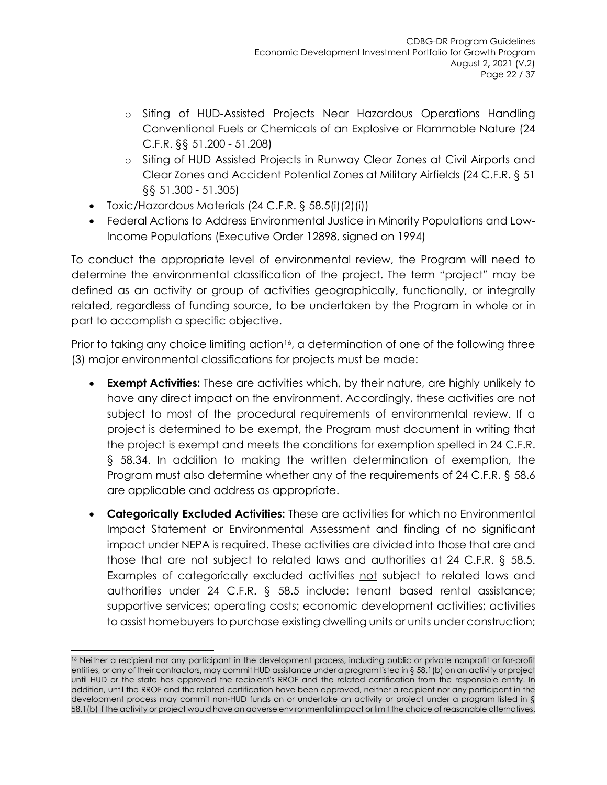- o Siting of HUD-Assisted Projects Near Hazardous Operations Handling Conventional Fuels or Chemicals of an Explosive or Flammable Nature (24 C.F.R. §§ 51.200 - 51.208)
- o Siting of HUD Assisted Projects in Runway Clear Zones at Civil Airports and Clear Zones and Accident Potential Zones at Military Airfields (24 C.F.R. § 51 §§ 51.300 - 51.305)
- Toxic/Hazardous Materials (24 C.F.R. § 58.5(i)(2)(i))
- Federal Actions to Address Environmental Justice in Minority Populations and Low-Income Populations (Executive Order 12898, signed on 1994)

To conduct the appropriate level of environmental review, the Program will need to determine the environmental classification of the project. The term "project" may be defined as an activity or group of activities geographically, functionally, or integrally related, regardless of funding source, to be undertaken by the Program in whole or in part to accomplish a specific objective.

Prior to taking any choice limiting action<sup>16</sup>, a determination of one of the following three (3) major environmental classifications for projects must be made:

- **Exempt Activities:** These are activities which, by their nature, are highly unlikely to have any direct impact on the environment. Accordingly, these activities are not subject to most of the procedural requirements of environmental review. If a project is determined to be exempt, the Program must document in writing that the project is exempt and meets the conditions for exemption spelled in 24 C.F.R. § 58.34. In addition to making the written determination of exemption, the Program must also determine whether any of the requirements of 24 C.F.R. § 58.6 are applicable and address as appropriate.
- **Categorically Excluded Activities:** These are activities for which no Environmental Impact Statement or Environmental Assessment and finding of no significant impact under NEPA is required. These activities are divided into those that are and those that are not subject to related laws and authorities at 24 C.F.R. § 58.5. Examples of categorically excluded activities not subject to related laws and authorities under 24 C.F.R. § 58.5 include: tenant based rental assistance; supportive services; operating costs; economic development activities; activities to assist homebuyers to purchase existing dwelling units or units under construction;

<span id="page-21-0"></span><sup>16</sup> Neither a recipient nor any participant in the development process, including public or private nonprofit or for-profit entities, or any of their contractors, may commit HUD assistance under a program listed in § 58.1(b) on an activity or project until HUD or the state has approved the recipient's RROF and the related certification from the responsible entity. In addition, until the RROF and the related certification have been approved, neither a recipient nor any participant in the development process may commit non-HUD funds on or undertake an activity or project under a program listed in § 58.1(b) if the activity or project would have an adverse environmental impact or limit the choice of reasonable alternatives.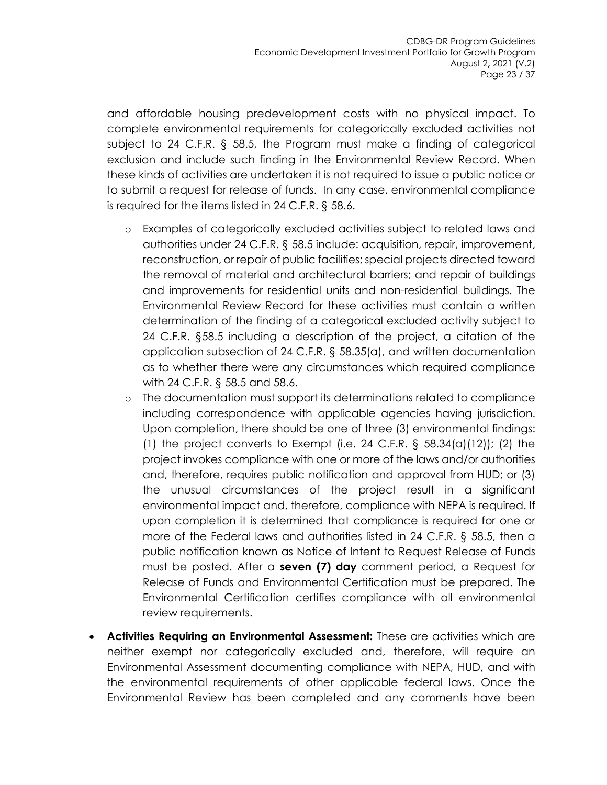and affordable housing predevelopment costs with no physical impact. To complete environmental requirements for categorically excluded activities not subject to 24 C.F.R. § 58.5, the Program must make a finding of categorical exclusion and include such finding in the Environmental Review Record. When these kinds of activities are undertaken it is not required to issue a public notice or to submit a request for release of funds. In any case, environmental compliance is required for the items listed in 24 C.F.R. § 58.6.

- o Examples of categorically excluded activities subject to related laws and authorities under 24 C.F.R. § 58.5 include: acquisition, repair, improvement, reconstruction, or repair of public facilities; special projects directed toward the removal of material and architectural barriers; and repair of buildings and improvements for residential units and non-residential buildings. The Environmental Review Record for these activities must contain a written determination of the finding of a categorical excluded activity subject to 24 C.F.R. §58.5 including a description of the project, a citation of the application subsection of 24 C.F.R. § 58.35(a), and written documentation as to whether there were any circumstances which required compliance with 24 C.F.R. § 58.5 and 58.6.
- o The documentation must support its determinations related to compliance including correspondence with applicable agencies having jurisdiction. Upon completion, there should be one of three (3) environmental findings: (1) the project converts to Exempt (i.e. 24 C.F.R.  $\S$  58.34(a)(12)); (2) the project invokes compliance with one or more of the laws and/or authorities and, therefore, requires public notification and approval from HUD; or (3) the unusual circumstances of the project result in a significant environmental impact and, therefore, compliance with NEPA is required. If upon completion it is determined that compliance is required for one or more of the Federal laws and authorities listed in 24 C.F.R. § 58.5, then a public notification known as Notice of Intent to Request Release of Funds must be posted. After a **seven (7) day** comment period, a Request for Release of Funds and Environmental Certification must be prepared. The Environmental Certification certifies compliance with all environmental review requirements.
- **Activities Requiring an Environmental Assessment:** These are activities which are neither exempt nor categorically excluded and, therefore, will require an Environmental Assessment documenting compliance with NEPA, HUD, and with the environmental requirements of other applicable federal laws. Once the Environmental Review has been completed and any comments have been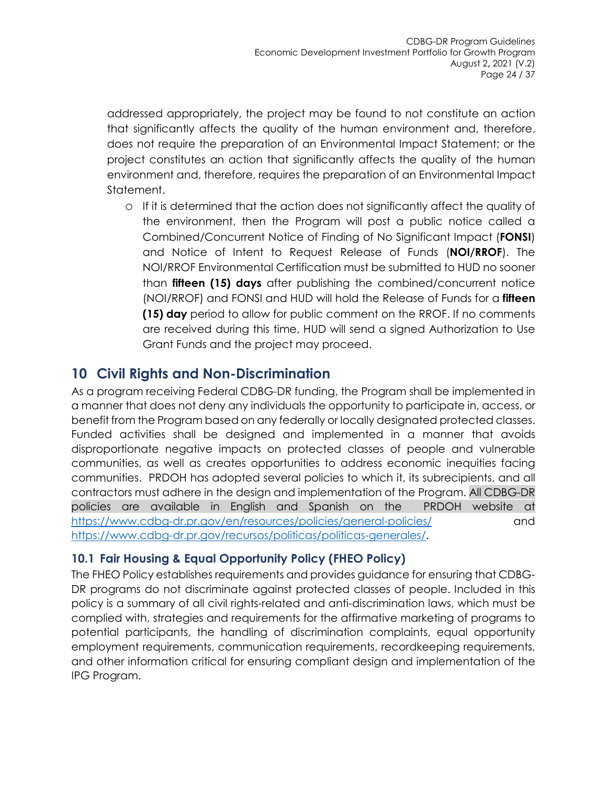addressed appropriately, the project may be found to not constitute an action that significantly affects the quality of the human environment and, therefore, does not require the preparation of an Environmental Impact Statement; or the project constitutes an action that significantly affects the quality of the human environment and, therefore, requires the preparation of an Environmental Impact Statement.

o If it is determined that the action does not significantly affect the quality of the environment, then the Program will post a public notice called a Combined/Concurrent Notice of Finding of No Significant Impact (**FONSI**) and Notice of Intent to Request Release of Funds (**NOI/RROF**). The NOI/RROF Environmental Certification must be submitted to HUD no sooner than **fifteen (15) days** after publishing the combined/concurrent notice (NOI/RROF) and FONSI and HUD will hold the Release of Funds for a **fifteen (15) day** period to allow for public comment on the RROF. If no comments are received during this time, HUD will send a signed Authorization to Use Grant Funds and the project may proceed.

# <span id="page-23-0"></span>**10 Civil Rights and Non-Discrimination**

As a program receiving Federal CDBG-DR funding, the Program shall be implemented in a manner that does not deny any individuals the opportunity to participate in, access, or benefit from the Program based on any federally or locally designated protected classes. Funded activities shall be designed and implemented in a manner that avoids disproportionate negative impacts on protected classes of people and vulnerable communities, as well as creates opportunities to address economic inequities facing communities. PRDOH has adopted several policies to which it, its subrecipients, and all contractors must adhere in the design and implementation of the Program. All CDBG-DR policies are available in English and Spanish on the PRDOH website at <https://www.cdbg-dr.pr.gov/en/resources/policies/general-policies/> and [https://www.cdbg-dr.pr.gov/recursos/politicas/politicas-generales/.](https://www.cdbg-dr.pr.gov/recursos/politicas/politicas-generales/)

#### <span id="page-23-1"></span>**10.1 Fair Housing & Equal Opportunity Policy (FHEO Policy)**

The FHEO Policy establishes requirements and provides guidance for ensuring that CDBG-DR programs do not discriminate against protected classes of people. Included in this policy is a summary of all civil rights-related and anti-discrimination laws, which must be complied with, strategies and requirements for the affirmative marketing of programs to potential participants, the handling of discrimination complaints, equal opportunity employment requirements, communication requirements, recordkeeping requirements, and other information critical for ensuring compliant design and implementation of the IPG Program.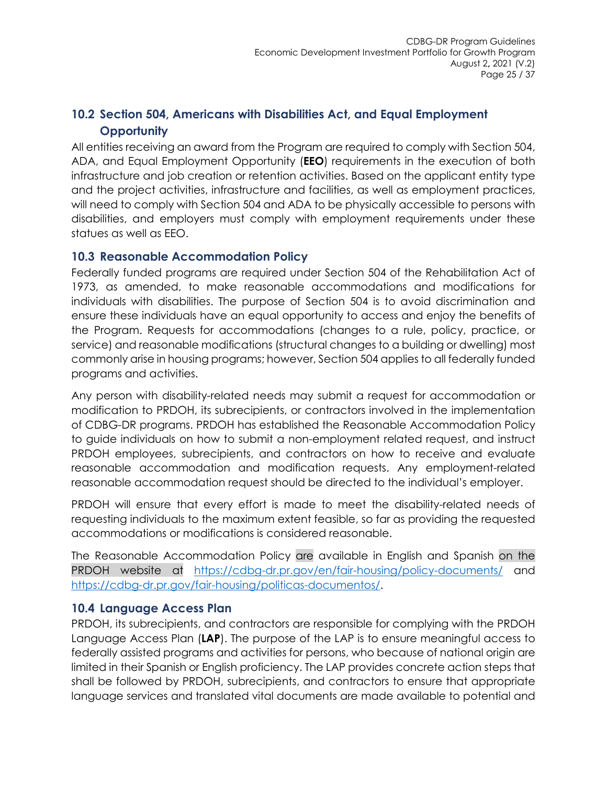#### <span id="page-24-0"></span>**10.2 Section 504, Americans with Disabilities Act, and Equal Employment Opportunity**

All entities receiving an award from the Program are required to comply with Section 504, ADA, and Equal Employment Opportunity (**EEO**) requirements in the execution of both infrastructure and job creation or retention activities. Based on the applicant entity type and the project activities, infrastructure and facilities, as well as employment practices, will need to comply with Section 504 and ADA to be physically accessible to persons with disabilities, and employers must comply with employment requirements under these statues as well as EEO.

#### <span id="page-24-1"></span>**10.3 Reasonable Accommodation Policy**

Federally funded programs are required under Section 504 of the Rehabilitation Act of 1973, as amended, to make reasonable accommodations and modifications for individuals with disabilities. The purpose of Section 504 is to avoid discrimination and ensure these individuals have an equal opportunity to access and enjoy the benefits of the Program. Requests for accommodations (changes to a rule, policy, practice, or service) and reasonable modifications (structural changes to a building or dwelling) most commonly arise in housing programs; however, Section 504 applies to all federally funded programs and activities.

Any person with disability-related needs may submit a request for accommodation or modification to PRDOH, its subrecipients, or contractors involved in the implementation of CDBG-DR programs. PRDOH has established the Reasonable Accommodation Policy to guide individuals on how to submit a non-employment related request, and instruct PRDOH employees, subrecipients, and contractors on how to receive and evaluate reasonable accommodation and modification requests. Any employment-related reasonable accommodation request should be directed to the individual's employer.

PRDOH will ensure that every effort is made to meet the disability-related needs of requesting individuals to the maximum extent feasible, so far as providing the requested accommodations or modifications is considered reasonable.

The Reasonable Accommodation Policy are available in English and Spanish on the PRDOH website at <https://cdbg-dr.pr.gov/en/fair-housing/policy-documents/> and [https://cdbg-dr.pr.gov/fair-housing/politicas-documentos/.](https://cdbg-dr.pr.gov/fair-housing/politicas-documentos/)

#### <span id="page-24-2"></span>**10.4 Language Access Plan**

PRDOH, its subrecipients, and contractors are responsible for complying with the PRDOH Language Access Plan (**LAP**). The purpose of the LAP is to ensure meaningful access to federally assisted programs and activities for persons, who because of national origin are limited in their Spanish or English proficiency. The LAP provides concrete action steps that shall be followed by PRDOH, subrecipients, and contractors to ensure that appropriate language services and translated vital documents are made available to potential and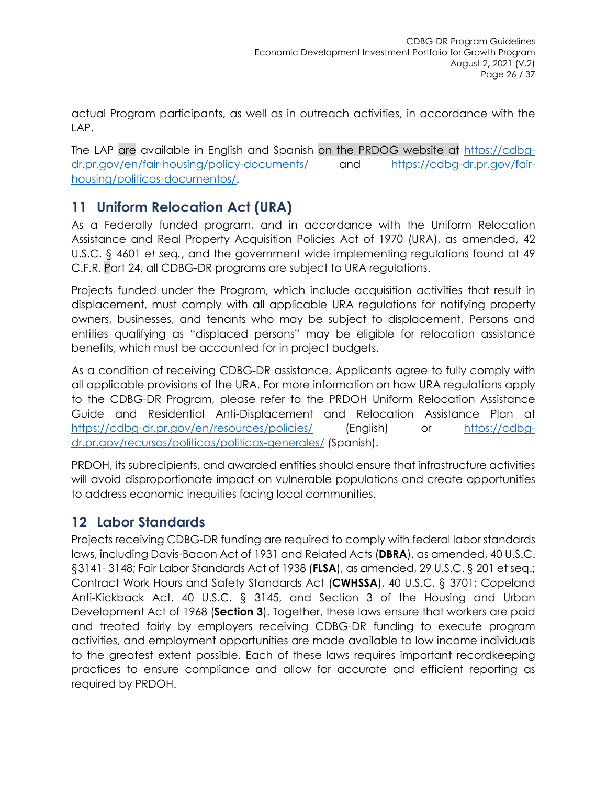actual Program participants, as well as in outreach activities, in accordance with the LAP.

The LAP are available in English and Spanish on the PRDOG website at [https://cdbg](https://cdbg-dr.pr.gov/en/fair-housing/policy-documents/)[dr.pr.gov/en/fair-housing/policy-documents/](https://cdbg-dr.pr.gov/en/fair-housing/policy-documents/) and [https://cdbg-dr.pr.gov/fair](https://cdbg-dr.pr.gov/fair-housing/politicas-documentos/)[housing/politicas-documentos/.](https://cdbg-dr.pr.gov/fair-housing/politicas-documentos/)

# <span id="page-25-0"></span>**11 Uniform Relocation Act (URA)**

As a Federally funded program, and in accordance with the Uniform Relocation Assistance and Real Property Acquisition Policies Act of 1970 (URA), as amended, 42 U.S.C. § 4601 *et seq.*, and the government wide implementing regulations found at 49 C.F.R. Part 24, all CDBG-DR programs are subject to URA regulations.

Projects funded under the Program, which include acquisition activities that result in displacement, must comply with all applicable URA regulations for notifying property owners, businesses, and tenants who may be subject to displacement. Persons and entities qualifying as "displaced persons" may be eligible for relocation assistance benefits, which must be accounted for in project budgets.

As a condition of receiving CDBG-DR assistance, Applicants agree to fully comply with all applicable provisions of the URA. For more information on how URA regulations apply to the CDBG-DR Program, please refer to the PRDOH Uniform Relocation Assistance Guide and Residential Anti-Displacement and Relocation Assistance Plan at <https://cdbg-dr.pr.gov/en/resources/policies/> (English) or [https://cdbg](https://cdbg-dr.pr.gov/recursos/politicas/politicas-generales/)[dr.pr.gov/recursos/politicas/politicas-generales/](https://cdbg-dr.pr.gov/recursos/politicas/politicas-generales/) (Spanish).

PRDOH, its subrecipients, and awarded entities should ensure that infrastructure activities will avoid disproportionate impact on vulnerable populations and create opportunities to address economic inequities facing local communities.

# <span id="page-25-1"></span>**12 Labor Standards**

Projects receiving CDBG-DR funding are required to comply with federal labor standards laws, including Davis-Bacon Act of 1931 and Related Acts (**DBRA**), as amended, 40 U.S.C. §3141- 3148; Fair Labor Standards Act of 1938 (**FLSA**), as amended, 29 U.S.C. § 201 et seq.; Contract Work Hours and Safety Standards Act (**CWHSSA**), 40 U.S.C. § 3701; Copeland Anti-Kickback Act, 40 U.S.C. § 3145, and Section 3 of the Housing and Urban Development Act of 1968 (**Section 3**). Together, these laws ensure that workers are paid and treated fairly by employers receiving CDBG-DR funding to execute program activities, and employment opportunities are made available to low income individuals to the greatest extent possible. Each of these laws requires important recordkeeping practices to ensure compliance and allow for accurate and efficient reporting as required by PRDOH.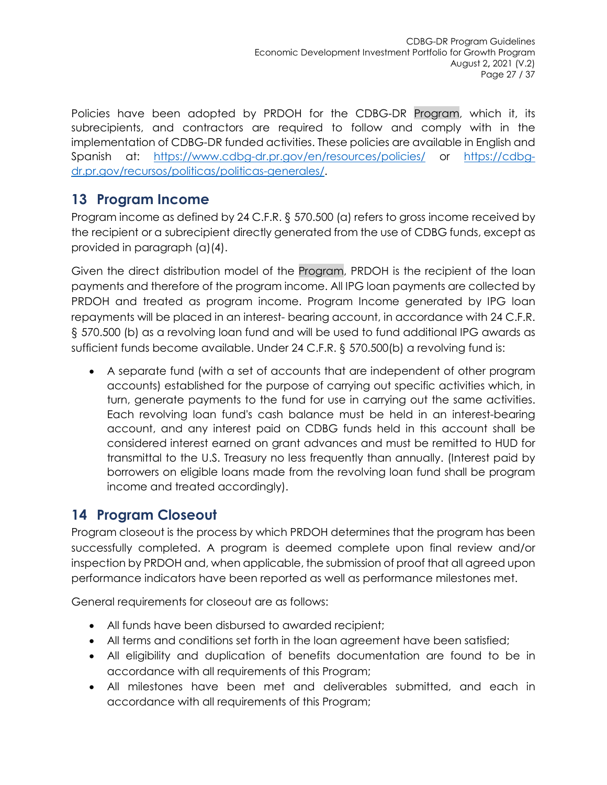Policies have been adopted by PRDOH for the CDBG-DR Program, which it, its subrecipients, and contractors are required to follow and comply with in the implementation of CDBG-DR funded activities. These policies are available in English and Spanish at: <https://www.cdbg-dr.pr.gov/en/resources/policies/> or [https://cdbg](https://cdbg-dr.pr.gov/recursos/politicas/politicas-generales/)[dr.pr.gov/recursos/politicas/politicas-generales/.](https://cdbg-dr.pr.gov/recursos/politicas/politicas-generales/)

# <span id="page-26-0"></span>**13 Program Income**

Program income as defined by 24 C.F.R. § 570.500 (a) refers to gross [income](https://www.law.cornell.edu/definitions/index.php?width=840&height=800&iframe=true&def_id=31ea9a12a77cf51b82fe3b9f8fd09d10&term_occur=999&term_src=Title:24:Subtitle:B:Chapter:V:Subchapter:C:Part:570:Subpart:J:570.500) received by the recipient or a subrecipient directly generated from the use of [CDBG funds,](https://www.law.cornell.edu/definitions/index.php?width=840&height=800&iframe=true&def_id=d3bc5d2ee66d745a10b7523cd24888b3&term_occur=999&term_src=Title:24:Subtitle:B:Chapter:V:Subchapter:C:Part:570:Subpart:J:570.500) except as provided in paragraph (a)(4).

Given the direct distribution model of the Program, PRDOH is the recipient of the loan payments and therefore of the program income. All IPG loan payments are collected by PRDOH and treated as program income. Program Income generated by IPG loan repayments will be placed in an interest- bearing account, in accordance with 24 C.F.R. § 570.500 (b) as a revolving loan fund and will be used to fund additional IPG awards as sufficient funds become available. Under 24 C.F.R. § 570.500(b) a revolving fund is:

• A separate fund (with a set of accounts that are independent of other program accounts) established for the purpose of carrying out specific activities which, in turn, generate payments to the fund for use in carrying out the same activities. Each revolving loan fund's cash balance must be held in an interest-bearing account, and any interest paid on CDBG funds held in this account shall be considered interest earned on grant advances and must be remitted to HUD for transmittal to the U.S. Treasury no less frequently than annually. (Interest paid by borrowers on eligible loans made from the revolving loan fund shall be program income and treated accordingly).

# <span id="page-26-1"></span>**14 Program Closeout**

Program closeout is the process by which PRDOH determines that the program has been successfully completed. A program is deemed complete upon final review and/or inspection by PRDOH and, when applicable, the submission of proof that all agreed upon performance indicators have been reported as well as performance milestones met.

General requirements for closeout are as follows:

- All funds have been disbursed to awarded recipient;
- All terms and conditions set forth in the loan agreement have been satisfied;
- All eligibility and duplication of benefits documentation are found to be in accordance with all requirements of this Program;
- All milestones have been met and deliverables submitted, and each in accordance with all requirements of this Program;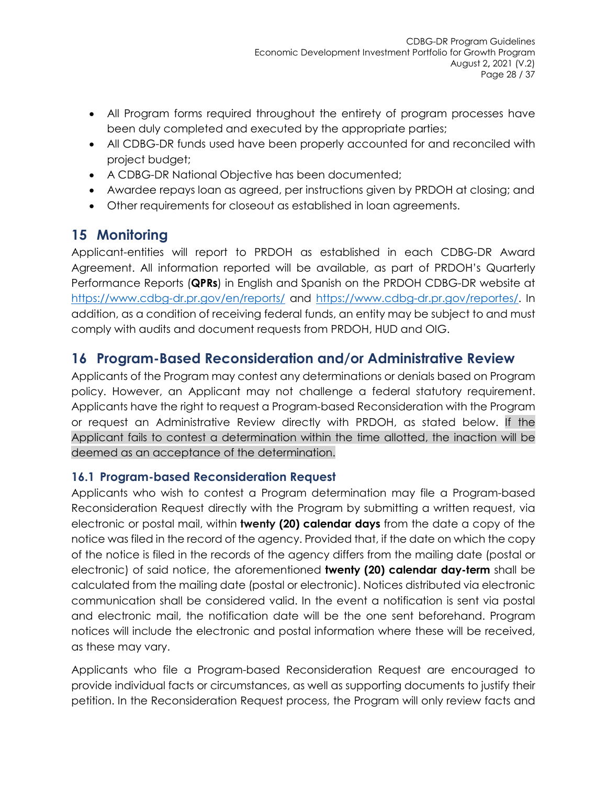- All Program forms required throughout the entirety of program processes have been duly completed and executed by the appropriate parties;
- All CDBG-DR funds used have been properly accounted for and reconciled with project budget;
- A CDBG-DR National Objective has been documented;
- Awardee repays loan as agreed, per instructions given by PRDOH at closing; and
- Other requirements for closeout as established in loan agreements.

# <span id="page-27-0"></span>**15 Monitoring**

Applicant-entities will report to PRDOH as established in each CDBG-DR Award Agreement. All information reported will be available, as part of PRDOH's Quarterly Performance Reports (**QPRs**) in English and Spanish on the PRDOH CDBG-DR website at <https://www.cdbg-dr.pr.gov/en/reports/> and [https://www.cdbg-dr.pr.gov/reportes/.](https://www.cdbg-dr.pr.gov/reportes/) In addition, as a condition of receiving federal funds, an entity may be subject to and must comply with audits and document requests from PRDOH, HUD and OIG.

# <span id="page-27-1"></span>**16 Program-Based Reconsideration and/or Administrative Review**

Applicants of the Program may contest any determinations or denials based on Program policy. However, an Applicant may not challenge a federal statutory requirement. Applicants have the right to request a Program-based Reconsideration with the Program or request an Administrative Review directly with PRDOH, as stated below. If the Applicant fails to contest a determination within the time allotted, the inaction will be deemed as an acceptance of the determination.

#### <span id="page-27-2"></span>**16.1 Program-based Reconsideration Request**

Applicants who wish to contest a Program determination may file a Program-based Reconsideration Request directly with the Program by submitting a written request, via electronic or postal mail, within **twenty (20) calendar days** from the date a copy of the notice was filed in the record of the agency. Provided that, if the date on which the copy of the notice is filed in the records of the agency differs from the mailing date (postal or electronic) of said notice, the aforementioned **twenty (20) calendar day-term** shall be calculated from the mailing date (postal or electronic). Notices distributed via electronic communication shall be considered valid. In the event a notification is sent via postal and electronic mail, the notification date will be the one sent beforehand. Program notices will include the electronic and postal information where these will be received, as these may vary.

Applicants who file a Program-based Reconsideration Request are encouraged to provide individual facts or circumstances, as well as supporting documents to justify their petition. In the Reconsideration Request process, the Program will only review facts and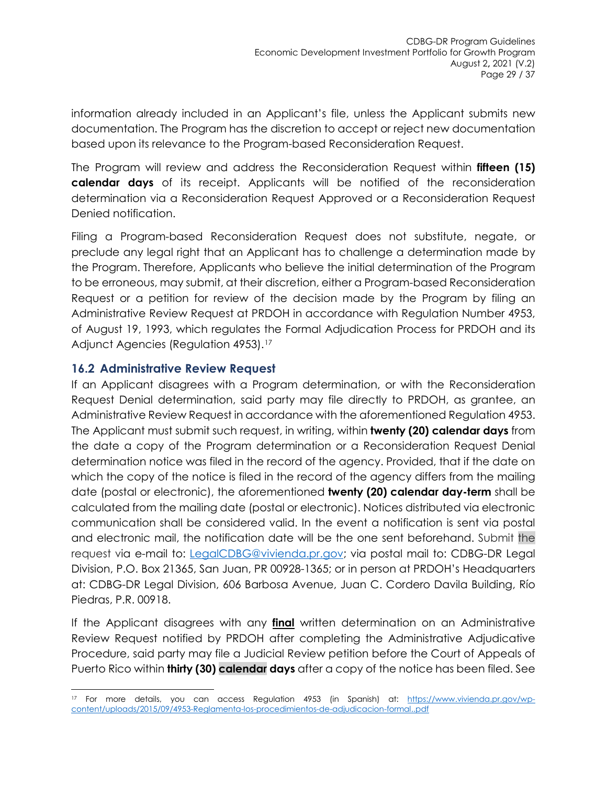information already included in an Applicant's file, unless the Applicant submits new documentation. The Program has the discretion to accept or reject new documentation based upon its relevance to the Program-based Reconsideration Request.

The Program will review and address the Reconsideration Request within **fifteen (15) calendar days** of its receipt. Applicants will be notified of the reconsideration determination via a Reconsideration Request Approved or a Reconsideration Request Denied notification.

Filing a Program-based Reconsideration Request does not substitute, negate, or preclude any legal right that an Applicant has to challenge a determination made by the Program. Therefore, Applicants who believe the initial determination of the Program to be erroneous, may submit, at their discretion, either a Program-based Reconsideration Request or a petition for review of the decision made by the Program by filing an Administrative Review Request at PRDOH in accordance with Regulation Number 4953, of August 19, 1993, which regulates the Formal Adjudication Process for PRDOH and its Adjunct Agencies (Regulation 4953).<sup>[17](#page-28-1)</sup>

#### <span id="page-28-0"></span>**16.2 Administrative Review Request**

If an Applicant disagrees with a Program determination, or with the Reconsideration Request Denial determination, said party may file directly to PRDOH, as grantee, an Administrative Review Request in accordance with the aforementioned Regulation 4953. The Applicant must submit such request, in writing, within **twenty (20) calendar days** from the date a copy of the Program determination or a Reconsideration Request Denial determination notice was filed in the record of the agency. Provided, that if the date on which the copy of the notice is filed in the record of the agency differs from the mailing date (postal or electronic), the aforementioned **twenty (20) calendar day-term** shall be calculated from the mailing date (postal or electronic). Notices distributed via electronic communication shall be considered valid. In the event a notification is sent via postal and electronic mail, the notification date will be the one sent beforehand. Submit the request via e-mail to: [LegalCDBG@vivienda.pr.gov;](mailto:LegalCDBG@vivienda.pr.gov) via postal mail to: CDBG-DR Legal Division, P.O. Box 21365, San Juan, PR 00928-1365; or in person at PRDOH's Headquarters at: CDBG-DR Legal Division, 606 Barbosa Avenue, Juan C. Cordero Davila Building, Río Piedras, P.R. 00918.

If the Applicant disagrees with any **final** written determination on an Administrative Review Request notified by PRDOH after completing the Administrative Adjudicative Procedure, said party may file a Judicial Review petition before the Court of Appeals of Puerto Rico within **thirty (30) calendar days** after a copy of the notice has been filed. See

<span id="page-28-1"></span><sup>17</sup> For more details, you can access Regulation 4953 (in Spanish) at: [https://www.vivienda.pr.gov/wp](https://www.vivienda.pr.gov/wp-content/uploads/2015/09/4953-Reglamenta-los-procedimientos-de-adjudicacion-formal..pdf)[content/uploads/2015/09/4953-Reglamenta-los-procedimientos-de-adjudicacion-formal..pdf](https://www.vivienda.pr.gov/wp-content/uploads/2015/09/4953-Reglamenta-los-procedimientos-de-adjudicacion-formal..pdf)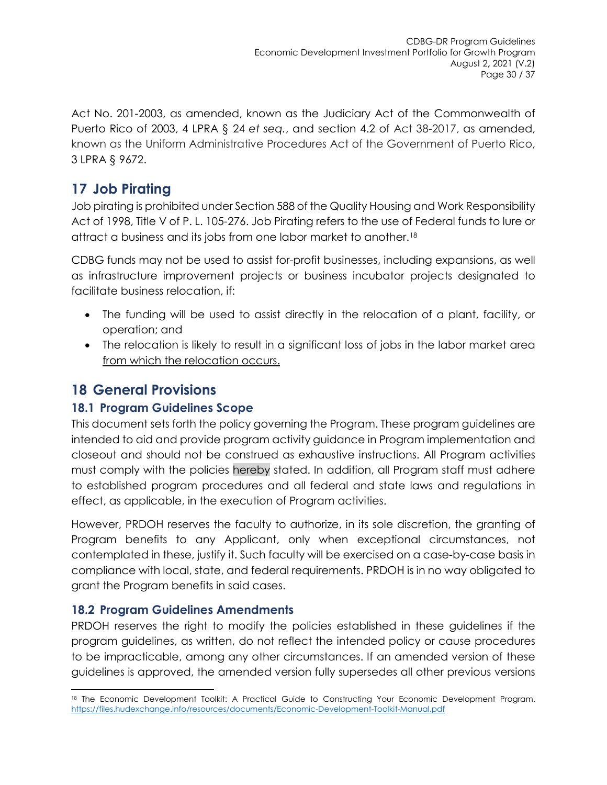Act No. 201-2003, as amended, known as the Judiciary Act of the Commonwealth of Puerto Rico of 2003, 4 LPRA § 24 *et seq.*, and section 4.2 of Act 38-2017, as amended, known as the Uniform Administrative Procedures Act of the Government of Puerto Rico, 3 LPRA § 9672.

# <span id="page-29-0"></span>**17 Job Pirating**

Job pirating is prohibited under Section 588 of the Quality Housing and Work Responsibility Act of 1998, Title V of P. L. 105-276. Job Pirating refers to the use of Federal funds to lure or attract a business and its jobs from one labor market to another.<sup>[18](#page-29-4)</sup>

CDBG funds may not be used to assist for-profit businesses, including expansions, as well as infrastructure improvement projects or business incubator projects designated to facilitate business relocation, if:

- The funding will be used to assist directly in the relocation of a plant, facility, or operation; and
- The relocation is likely to result in a significant loss of jobs in the labor market area from which the relocation occurs.

# <span id="page-29-1"></span>**18 General Provisions**

#### <span id="page-29-2"></span>**18.1 Program Guidelines Scope**

This document sets forth the policy governing the Program. These program guidelines are intended to aid and provide program activity guidance in Program implementation and closeout and should not be construed as exhaustive instructions. All Program activities must comply with the policies hereby stated. In addition, all Program staff must adhere to established program procedures and all federal and state laws and regulations in effect, as applicable, in the execution of Program activities.

However, PRDOH reserves the faculty to authorize, in its sole discretion, the granting of Program benefits to any Applicant, only when exceptional circumstances, not contemplated in these, justify it. Such faculty will be exercised on a case-by-case basis in compliance with local, state, and federal requirements. PRDOH is in no way obligated to grant the Program benefits in said cases.

#### <span id="page-29-3"></span>**18.2 Program Guidelines Amendments**

PRDOH reserves the right to modify the policies established in these guidelines if the program guidelines, as written, do not reflect the intended policy or cause procedures to be impracticable, among any other circumstances. If an amended version of these guidelines is approved, the amended version fully supersedes all other previous versions

<span id="page-29-4"></span><sup>18</sup> The Economic Development Toolkit: A Practical Guide to Constructing Your Economic Development Program. <https://files.hudexchange.info/resources/documents/Economic-Development-Toolkit-Manual.pdf>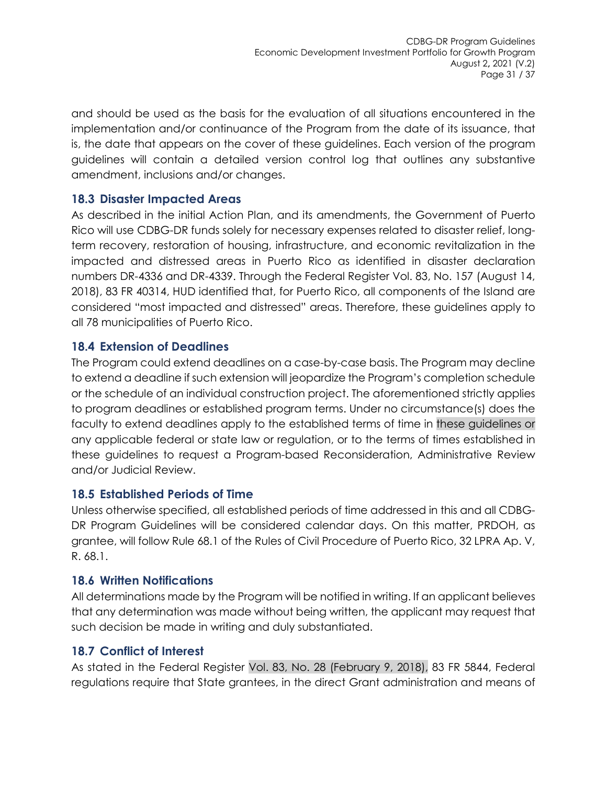and should be used as the basis for the evaluation of all situations encountered in the implementation and/or continuance of the Program from the date of its issuance, that is, the date that appears on the cover of these guidelines. Each version of the program guidelines will contain a detailed version control log that outlines any substantive amendment, inclusions and/or changes.

#### <span id="page-30-0"></span>**18.3 Disaster Impacted Areas**

As described in the initial Action Plan, and its amendments, the Government of Puerto Rico will use CDBG-DR funds solely for necessary expenses related to disaster relief, longterm recovery, restoration of housing, infrastructure, and economic revitalization in the impacted and distressed areas in Puerto Rico as identified in disaster declaration numbers DR-4336 and DR-4339. Through the Federal Register Vol. 83, No. 157 (August 14, 2018), 83 FR 40314, HUD identified that, for Puerto Rico, all components of the Island are considered "most impacted and distressed" areas. Therefore, these guidelines apply to all 78 municipalities of Puerto Rico.

#### <span id="page-30-1"></span>**18.4 Extension of Deadlines**

The Program could extend deadlines on a case-by-case basis. The Program may decline to extend a deadline if such extension will jeopardize the Program's completion schedule or the schedule of an individual construction project. The aforementioned strictly applies to program deadlines or established program terms. Under no circumstance(s) does the faculty to extend deadlines apply to the established terms of time in these guidelines or any applicable federal or state law or regulation, or to the terms of times established in these guidelines to request a Program-based Reconsideration, Administrative Review and/or Judicial Review.

#### <span id="page-30-2"></span>**18.5 Established Periods of Time**

Unless otherwise specified, all established periods of time addressed in this and all CDBG-DR Program Guidelines will be considered calendar days. On this matter, PRDOH, as grantee, will follow Rule 68.1 of the Rules of Civil Procedure of Puerto Rico, 32 LPRA Ap. V, R. 68.1.

#### <span id="page-30-3"></span>**18.6 Written Notifications**

All determinations made by the Program will be notified in writing. If an applicant believes that any determination was made without being written, the applicant may request that such decision be made in writing and duly substantiated.

#### <span id="page-30-4"></span>**18.7 Conflict of Interest**

As stated in the Federal Register Vol. 83, No. 28 (February 9, 2018), 83 FR 5844, Federal regulations require that State grantees, in the direct Grant administration and means of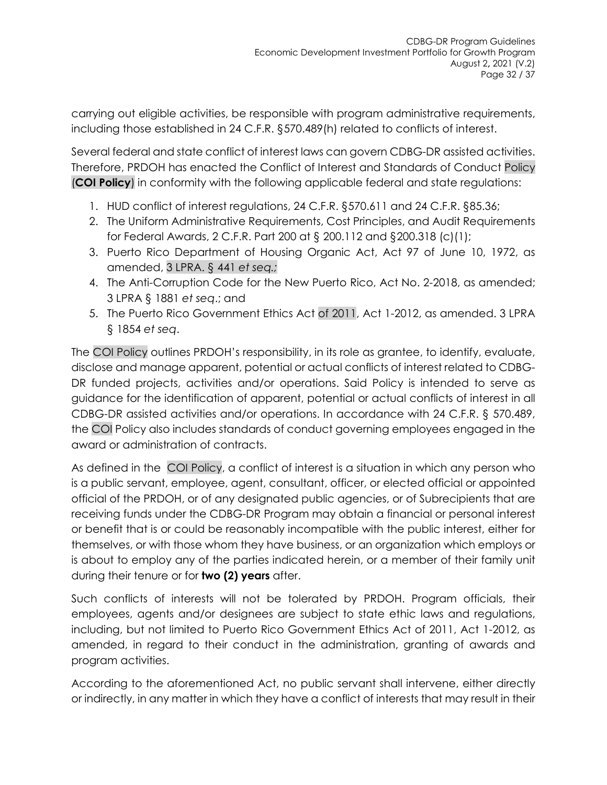carrying out eligible activities, be responsible with program administrative requirements, including those established in 24 C.F.R. §570.489(h) related to conflicts of interest.

Several federal and state conflict of interest laws can govern CDBG-DR assisted activities. Therefore, PRDOH has enacted the Conflict of Interest and Standards of Conduct Policy (**COI Policy**) in conformity with the following applicable federal and state regulations:

- 1. HUD conflict of interest regulations, 24 C.F.R. §570.611 and 24 C.F.R. §85.36;
- 2. The Uniform Administrative Requirements, Cost Principles, and Audit Requirements for Federal Awards, 2 C.F.R. Part 200 at § 200.112 and §200.318 (c)(1);
- 3. Puerto Rico Department of Housing Organic Act, Act 97 of June 10, 1972, as amended, 3 LPRA. § 441 *et seq.;*
- 4. The Anti-Corruption Code for the New Puerto Rico, Act No. 2-2018, as amended; 3 LPRA § 1881 *et seq*.; and
- 5. The Puerto Rico Government Ethics Act of 2011, Act 1-2012, as amended. 3 LPRA § 1854 *et seq*.

The COI Policy outlines PRDOH's responsibility, in its role as grantee, to identify, evaluate, disclose and manage apparent, potential or actual conflicts of interest related to CDBG-DR funded projects, activities and/or operations. Said Policy is intended to serve as guidance for the identification of apparent, potential or actual conflicts of interest in all CDBG-DR assisted activities and/or operations. In accordance with 24 C.F.R. § 570.489, the COI Policy also includes standards of conduct governing employees engaged in the award or administration of contracts.

As defined in the COI Policy, a conflict of interest is a situation in which any person who is a public servant, employee, agent, consultant, officer, or elected official or appointed official of the PRDOH, or of any designated public agencies, or of Subrecipients that are receiving funds under the CDBG-DR Program may obtain a financial or personal interest or benefit that is or could be reasonably incompatible with the public interest, either for themselves, or with those whom they have business, or an organization which employs or is about to employ any of the parties indicated herein, or a member of their family unit during their tenure or for **two (2) years** after.

Such conflicts of interests will not be tolerated by PRDOH. Program officials, their employees, agents and/or designees are subject to state ethic laws and regulations, including, but not limited to Puerto Rico Government Ethics Act of 2011, Act 1-2012, as amended, in regard to their conduct in the administration, granting of awards and program activities.

According to the aforementioned Act, no public servant shall intervene, either directly or indirectly, in any matter in which they have a conflict of interests that may result in their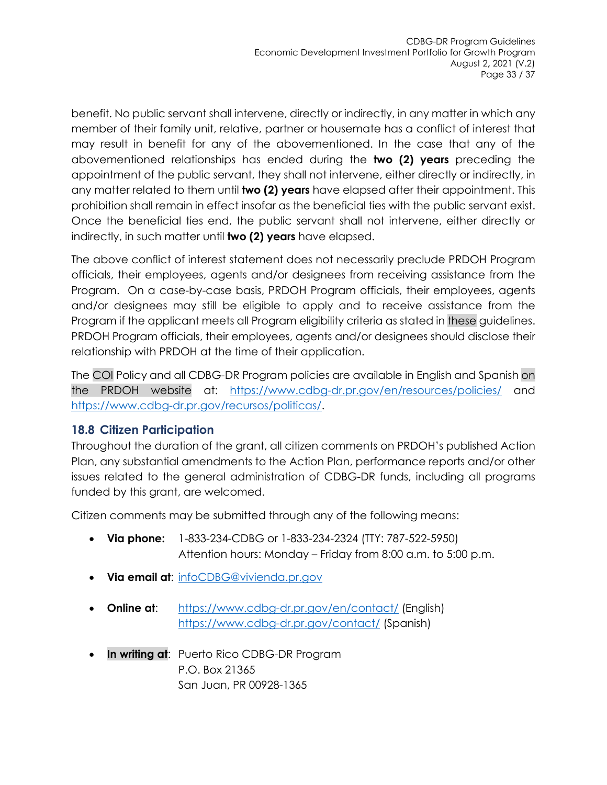benefit. No public servant shall intervene, directly or indirectly, in any matter in which any member of their family unit, relative, partner or housemate has a conflict of interest that may result in benefit for any of the abovementioned. In the case that any of the abovementioned relationships has ended during the **two (2) years** preceding the appointment of the public servant, they shall not intervene, either directly or indirectly, in any matter related to them until **two (2) years** have elapsed after their appointment. This prohibition shall remain in effect insofar as the beneficial ties with the public servant exist. Once the beneficial ties end, the public servant shall not intervene, either directly or indirectly, in such matter until **two (2) years** have elapsed.

The above conflict of interest statement does not necessarily preclude PRDOH Program officials, their employees, agents and/or designees from receiving assistance from the Program. On a case-by-case basis, PRDOH Program officials, their employees, agents and/or designees may still be eligible to apply and to receive assistance from the Program if the applicant meets all Program eligibility criteria as stated in these guidelines. PRDOH Program officials, their employees, agents and/or designees should disclose their relationship with PRDOH at the time of their application.

The COI Policy and all CDBG-DR Program policies are available in English and Spanish on the PRDOH website at: <https://www.cdbg-dr.pr.gov/en/resources/policies/> and [https://www.cdbg-dr.pr.gov/recursos/politicas/.](https://www.cdbg-dr.pr.gov/recursos/politicas/)

#### <span id="page-32-0"></span>**18.8 Citizen Participation**

Throughout the duration of the grant, all citizen comments on PRDOH's published Action Plan, any substantial amendments to the Action Plan, performance reports and/or other issues related to the general administration of CDBG-DR funds, including all programs funded by this grant, are welcomed.

Citizen comments may be submitted through any of the following means:

- **Via phone:** 1-833-234-CDBG or 1-833-234-2324 (TTY: 787-522-5950) Attention hours: Monday – Friday from 8:00 a.m. to 5:00 p.m.
- **Via email at**: [infoCDBG@vivienda.pr.gov](mailto:infoCDBG@vivienda.pr.gov)
- **Online at**: <https://www.cdbg-dr.pr.gov/en/contact/> (English) <https://www.cdbg-dr.pr.gov/contact/> (Spanish)
- **In writing at**: Puerto Rico CDBG-DR Program P.O. Box 21365 San Juan, PR 00928-1365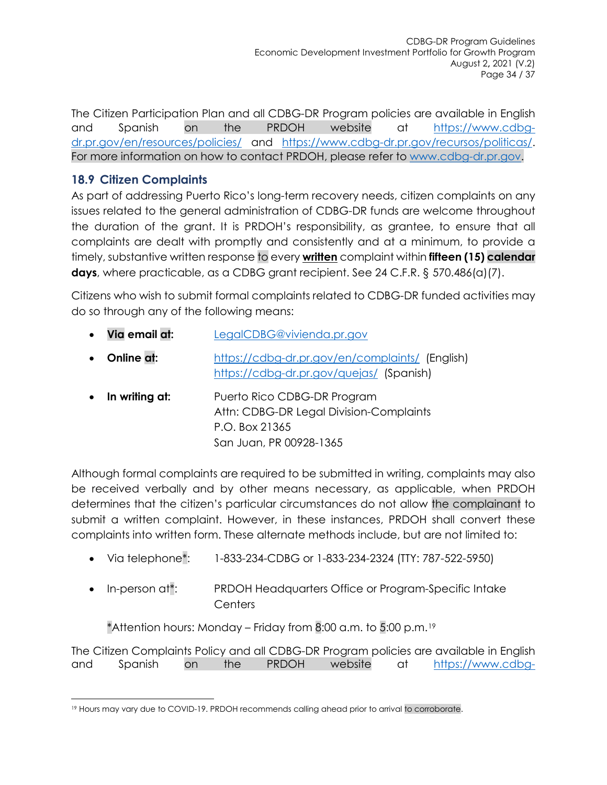The Citizen Participation Plan and all CDBG-DR Program policies are available in English and Spanish on the PRDOH website at [https://www.cdbg](https://www.cdbg-dr.pr.gov/en/resources/policies/)[dr.pr.gov/en/resources/policies/](https://www.cdbg-dr.pr.gov/en/resources/policies/) and [https://www.cdbg-dr.pr.gov/recursos/politicas/.](https://www.cdbg-dr.pr.gov/recursos/politicas/) For more information on how to contact PRDOH, please refer to [www.cdbg-dr.pr.gov.](http://www.cdbg-dr.pr.gov/)

#### <span id="page-33-0"></span>**18.9 Citizen Complaints**

As part of addressing Puerto Rico's long-term recovery needs, citizen complaints on any issues related to the general administration of CDBG-DR funds are welcome throughout the duration of the grant. It is PRDOH's responsibility, as grantee, to ensure that all complaints are dealt with promptly and consistently and at a minimum, to provide a timely, substantive written response to every **written** complaint within **fifteen (15) calendar days**, where practicable, as a CDBG grant recipient. See 24 C.F.R. § 570.486(a)(7).

Citizens who wish to submit formal complaints related to CDBG-DR funded activities may do so through any of the following means:

• **Via email at:** [LegalCDBG@vivienda.pr.gov](mailto:LegalCDBG@vivienda.pr.gov) • **Online at:** <https://cdbg-dr.pr.gov/en/complaints/>(English) <https://cdbg-dr.pr.gov/quejas/>(Spanish) **In writing at:** Puerto Rico CDBG-DR Program Attn: CDBG-DR Legal Division-Complaints P.O. Box 21365

San Juan, PR 00928-1365

Although formal complaints are required to be submitted in writing, complaints may also be received verbally and by other means necessary, as applicable, when PRDOH determines that the citizen's particular circumstances do not allow the complainant to submit a written complaint. However, in these instances, PRDOH shall convert these complaints into written form. These alternate methods include, but are not limited to:

- Via telephone\*: 1-833-234-CDBG or 1-833-234-2324 (TTY: 787-522-5950)
- In-person at\*: PRDOH Headquarters Office or Program-Specific Intake **Centers**

\*Attention hours: Monday – Friday from 8:00 a.m. to 5:00 p.m.[19](#page-33-1)

The Citizen Complaints Policy and all CDBG-DR Program policies are available in English and Spanish on the PRDOH website at [https://www.cdbg-](https://www.cdbg-dr.pr.gov/en/resources/policies/general-policies/)

<span id="page-33-1"></span> <sup>19</sup> Hours may vary due to COVID-19. PRDOH recommends calling ahead prior to arrival to corroborate.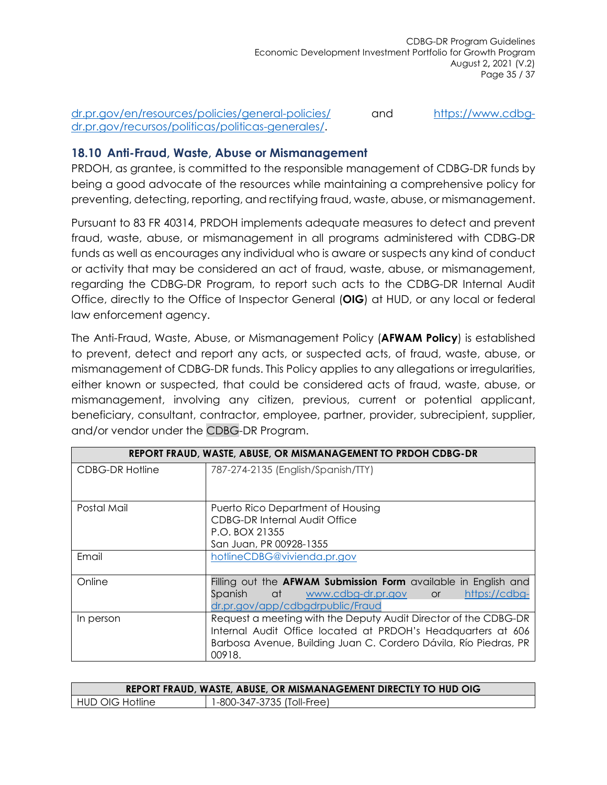```
dr.pr.gov/en/resources/policies/general-policies/https://www.cdbg-
dr.pr.gov/recursos/politicas/politicas-generales/.
```
#### <span id="page-34-0"></span>**18.10 Anti-Fraud, Waste, Abuse or Mismanagement**

PRDOH, as grantee, is committed to the responsible management of CDBG-DR funds by being a good advocate of the resources while maintaining a comprehensive policy for preventing, detecting, reporting, and rectifying fraud, waste, abuse, or mismanagement.

Pursuant to 83 FR 40314, PRDOH implements adequate measures to detect and prevent fraud, waste, abuse, or mismanagement in all programs administered with CDBG-DR funds as well as encourages any individual who is aware or suspects any kind of conduct or activity that may be considered an act of fraud, waste, abuse, or mismanagement, regarding the CDBG-DR Program, to report such acts to the CDBG-DR Internal Audit Office, directly to the Office of Inspector General (**OIG**) at HUD, or any local or federal law enforcement agency.

The Anti-Fraud, Waste, Abuse, or Mismanagement Policy (**AFWAM Policy**) is established to prevent, detect and report any acts, or suspected acts, of fraud, waste, abuse, or mismanagement of CDBG-DR funds. This Policy applies to any allegations or irregularities, either known or suspected, that could be considered acts of fraud, waste, abuse, or mismanagement, involving any citizen, previous, current or potential applicant, beneficiary, consultant, contractor, employee, partner, provider, subrecipient, supplier, and/or vendor under the CDBG-DR Program.

| REPORT FRAUD, WASTE, ABUSE, OR MISMANAGEMENT TO PRDOH CDBG-DR |                                                                                                                                                                                                               |
|---------------------------------------------------------------|---------------------------------------------------------------------------------------------------------------------------------------------------------------------------------------------------------------|
| CDBG-DR Hotline                                               | 787-274-2135 (English/Spanish/TTY)                                                                                                                                                                            |
| Postal Mail                                                   | Puerto Rico Department of Housing<br><b>CDBG-DR Internal Audit Office</b><br>P.O. BOX 21355<br>San Juan, PR 00928-1355                                                                                        |
| Fmail                                                         | hotlineCDBG@vivienda.pr.gov                                                                                                                                                                                   |
| Online                                                        | Filling out the <b>AFWAM Submission Form</b> available in English and<br>https://cdbg-<br>Spanish<br>at<br>www.cdbg-dr.pr.gov or<br>dr.pr.gov/app/cdbgdrpublic/Fraud                                          |
| In person                                                     | Request a meeting with the Deputy Audit Director of the CDBG-DR<br>Internal Audit Office located at PRDOH's Headquarters at 606<br>Barbosa Avenue, Building Juan C. Cordero Dávila, Río Piedras, PR<br>00918. |

|                 | REPORT FRAUD, WASTE, ABUSE, OR MISMANAGEMENT DIRECTLY TO HUD OIG |
|-----------------|------------------------------------------------------------------|
| HUD OIG Hotline | 1-800-347-3735 (Toll-Free)                                       |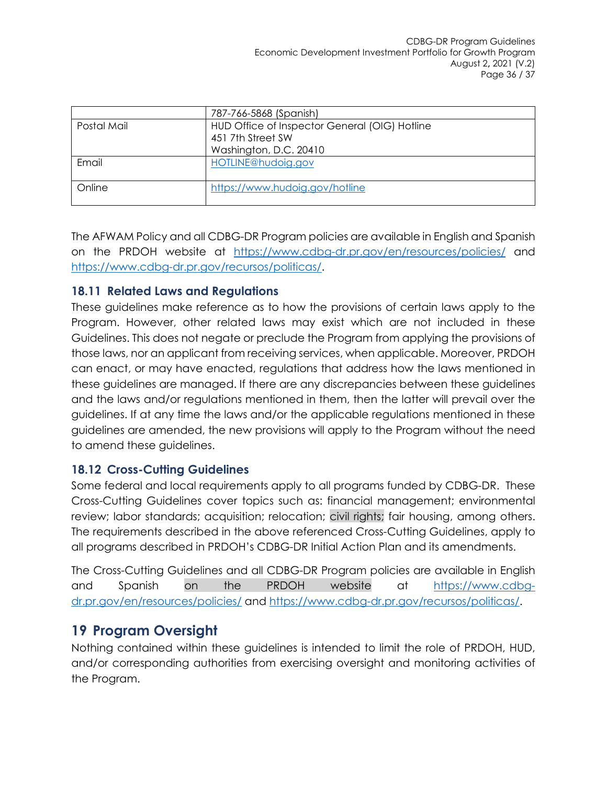|             | 787-766-5868 (Spanish)                        |
|-------------|-----------------------------------------------|
| Postal Mail | HUD Office of Inspector General (OIG) Hotline |
|             | 451 7th Street SW                             |
|             | Washington, D.C. 20410                        |
| Email       | HOTLINE@hudoig.gov                            |
|             |                                               |
| Online      | https://www.hudoig.gov/hotline                |
|             |                                               |

The AFWAM Policy and all CDBG-DR Program policies are available in English and Spanish on the PRDOH website at <https://www.cdbg-dr.pr.gov/en/resources/policies/> and [https://www.cdbg-dr.pr.gov/recursos/politicas/.](https://www.cdbg-dr.pr.gov/recursos/politicas/)

#### <span id="page-35-0"></span>**18.11 Related Laws and Regulations**

These guidelines make reference as to how the provisions of certain laws apply to the Program. However, other related laws may exist which are not included in these Guidelines. This does not negate or preclude the Program from applying the provisions of those laws, nor an applicant from receiving services, when applicable. Moreover, PRDOH can enact, or may have enacted, regulations that address how the laws mentioned in these guidelines are managed. If there are any discrepancies between these guidelines and the laws and/or regulations mentioned in them, then the latter will prevail over the guidelines. If at any time the laws and/or the applicable regulations mentioned in these guidelines are amended, the new provisions will apply to the Program without the need to amend these guidelines.

#### <span id="page-35-1"></span>**18.12 Cross-Cutting Guidelines**

Some federal and local requirements apply to all programs funded by CDBG-DR. These Cross-Cutting Guidelines cover topics such as: financial management; environmental review; labor standards; acquisition; relocation; civil rights; fair housing, among others. The requirements described in the above referenced Cross-Cutting Guidelines, apply to all programs described in PRDOH's CDBG-DR Initial Action Plan and its amendments.

The Cross-Cutting Guidelines and all CDBG-DR Program policies are available in English and Spanish on the PRDOH website at [https://www.cdbg](https://www.cdbg-dr.pr.gov/en/resources/policies/)[dr.pr.gov/en/resources/policies/](https://www.cdbg-dr.pr.gov/en/resources/policies/) and [https://www.cdbg-dr.pr.gov/recursos/politicas/.](https://www.cdbg-dr.pr.gov/recursos/politicas/)

# <span id="page-35-2"></span>**19 Program Oversight**

Nothing contained within these guidelines is intended to limit the role of PRDOH, HUD, and/or corresponding authorities from exercising oversight and monitoring activities of the Program.